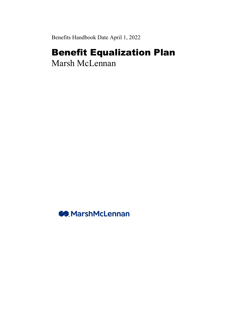Benefits Handbook Date April 1, 2022

# Benefit Equalization Plan

Marsh McLennan

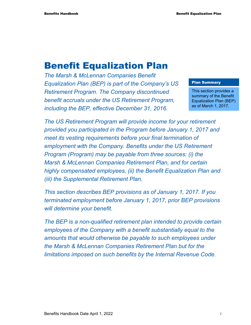# Benefit Equalization Plan

*The Marsh & McLennan Companies Benefit Equalization Plan (BEP) is part of the Company's US Retirement Program. The Company discontinued benefit accruals under the US Retirement Program, including the BEP, effective December 31, 2016.* 

#### Plan Summary

This section provides a summary of the Benefit Equalization Plan (BEP) as of March 1, 2017.

*The US Retirement Program will provide income for your retirement provided you participated in the Program before January 1, 2017 and meet its vesting requirements before your final termination of employment with the Company. Benefits under the US Retirement Program (Program) may be payable from three sources: (i) the Marsh & McLennan Companies Retirement Plan, and for certain highly compensated employees, (ii) the Benefit Equalization Plan and (iii) the Supplemental Retirement Plan.* 

*This section describes BEP provisions as of January 1, 2017. If you terminated employment before January 1, 2017, prior BEP provisions will determine your benefit.* 

*The BEP is a non-qualified retirement plan intended to provide certain employees of the Company with a benefit substantially equal to the amounts that would otherwise be payable to such employees under the Marsh & McLennan Companies Retirement Plan but for the limitations imposed on such benefits by the Internal Revenue Code.*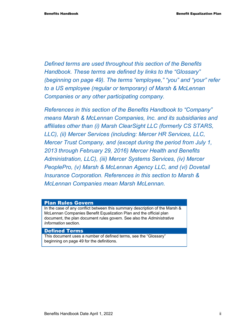*Defined terms are used throughout this section of the Benefits Handbook. These terms are defined by links to the "Glossary" (beginning on page 49). The terms "employee," "you" and "your" refer to a US employee (regular or temporary) of Marsh & McLennan Companies or any other participating company.* 

*References in this section of the Benefits Handbook to "Company" means Marsh & McLennan Companies, Inc. and its subsidiaries and affiliates other than (i) Marsh ClearSight LLC (formerly CS STARS, LLC), (ii) Mercer Services (including: Mercer HR Services, LLC, Mercer Trust Company, and (except during the period from July 1, 2013 through February 29, 2016) Mercer Health and Benefits Administration, LLC), (iii) Mercer Systems Services, (iv) Mercer PeoplePro, (v) Marsh & McLennan Agency LLC, and (vi) Dovetail Insurance Corporation. References in this section to Marsh & McLennan Companies mean Marsh McLennan.* 

#### Plan Rules Govern

In the case of any conflict between this summary description of the Marsh & McLennan Companies Benefit Equalization Plan and the official plan document, the plan document rules govern. See also the *Administrative Information* section.

#### Defined Terms

This document uses a number of defined terms, see the "Glossary" beginning on page 49 for the definitions.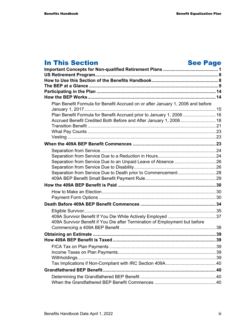# In This Section See Page

| Plan Benefit Formula for Benefit Accrued on or after January 1, 2006 and before |  |
|---------------------------------------------------------------------------------|--|
| Plan Benefit Formula for Benefit Accrued prior to January 1, 2006  16           |  |
| Accrued Benefit Credited Both Before and After January 1, 2006 18               |  |
|                                                                                 |  |
|                                                                                 |  |
|                                                                                 |  |
|                                                                                 |  |
|                                                                                 |  |
|                                                                                 |  |
|                                                                                 |  |
|                                                                                 |  |
|                                                                                 |  |
|                                                                                 |  |
|                                                                                 |  |
|                                                                                 |  |
|                                                                                 |  |
|                                                                                 |  |
|                                                                                 |  |
| 409A Survivor Benefit if You Die after Termination of Employment but before     |  |
|                                                                                 |  |
|                                                                                 |  |
|                                                                                 |  |
|                                                                                 |  |
|                                                                                 |  |
|                                                                                 |  |
|                                                                                 |  |
|                                                                                 |  |
|                                                                                 |  |
|                                                                                 |  |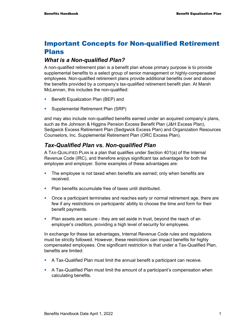# Important Concepts for Non-qualified Retirement Plans

#### *What is a Non-qualified Plan?*

A non-qualified retirement plan is a benefit plan whose primary purpose is to provide supplemental benefits to a select group of senior management or highly-compensated employees. Non-qualified retirement plans provide additional benefits over and above the benefits provided by a company's tax-qualified retirement benefit plan. At Marsh McLennan, this includes the non-qualified:

- **Benefit Equalization Plan (BEP) and**
- **Supplemental Retirement Plan (SRP)**

and may also include non-qualified benefits earned under an acquired company's plans, such as the Johnson & Higgins Pension Excess Benefit Plan (J&H Excess Plan), Sedgwick Excess Retirement Plan (Sedgwick Excess Plan) and Organization Resources Counselors, Inc. Supplemental Retirement Plan (ORC Excess Plan).

### *Tax-Qualified Plan vs. Non-qualified Plan*

A TAX-QUALIFIED PLAN is a plan that qualifies under Section 401(a) of the Internal Revenue Code (IRC), and therefore enjoys significant tax advantages for both the employee and employer. Some examples of these advantages are:

- The employee is not taxed when benefits are earned; only when benefits are received.
- **Plan benefits accumulate free of taxes until distributed.**
- Once a participant terminates and reaches early or normal retirement age, there are few if any restrictions on participants' ability to choose the time and form for their benefit payments.
- **Plan assets are secure they are set aside in trust, beyond the reach of an** employer's creditors, providing a high level of security for employees.

In exchange for these tax advantages, Internal Revenue Code rules and regulations must be strictly followed. However, these restrictions can impact benefits for highly compensated employees. One significant restriction is that under a Tax-Qualified Plan, benefits are limited:

- A Tax-Qualified Plan must limit the annual benefit a participant can receive.
- A Tax-Qualified Plan must limit the amount of a participant's compensation when calculating benefits.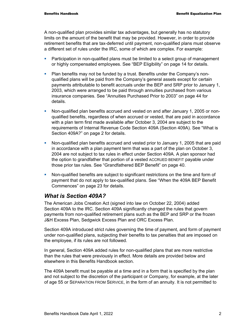A non-qualified plan provides similar tax advantages, but generally has no statutory limits on the amount of the benefit that may be provided. However, in order to provide retirement benefits that are tax-deferred until payment, non-qualified plans must observe a different set of rules under the IRC, some of which are complex. For example:

- **Participation in non-qualified plans must be limited to a select group of management** or highly compensated employees. See "BEP Eligibility" on page 14 for details.
- Plan benefits may not be funded by a trust. Benefits under the Company's nonqualified plans will be paid from the Company's general assets except for certain payments attributable to benefit accruals under the BEP and SRP prior to January 1, 2003, which were arranged to be paid through annuities purchased from various insurance companies. See "Annuities Purchased Prior to 2003" on page 44 for details.
- Non-qualified plan benefits accrued and vested on and after January 1, 2005 or nonqualified benefits, regardless of when accrued or vested, that are paid in accordance with a plan term first made available after October 3, 2004 are subject to the requirements of Internal Revenue Code Section 409A (Section 409A). See "What is Section 409A?" on page 2 for details.
- Non-qualified plan benefits accrued and vested prior to January 1, 2005 that are paid in accordance with a plan payment term that was a part of the plan on October 3, 2004 are not subject to tax rules in effect under Section 409A. A plan sponsor had the option to grandfather that portion of a vested ACCRUED BENEFIT payable under those prior tax rules. See "Grandfathered BEP Benefit" on page 40.
- Non-qualified benefits are subject to significant restrictions on the time and form of payment that do not apply to tax-qualified plans. See "When the 409A BEP Benefit Commences" on page 23 for details.

### *What is Section 409A?*

The American Jobs Creation Act (signed into law on October 22, 2004) added Section 409A to the IRC. Section 409A significantly changed the rules that govern payments from non-qualified retirement plans such as the BEP and SRP or the frozen J&H Excess Plan, Sedgwick Excess Plan and ORC Excess Plan.

Section 409A introduced strict rules governing the time of payment, and form of payment under non-qualified plans, subjecting their benefits to tax penalties that are imposed on the employee, if its rules are not followed.

In general, Section 409A added rules for non-qualified plans that are more restrictive than the rules that were previously in effect. More details are provided below and elsewhere in this Benefits Handbook section.

The 409A benefit must be payable at a time and in a form that is specified by the plan and not subject to the discretion of the participant or Company, for example, at the later of age 55 or SEPARATION FROM SERVICE, in the form of an annuity. It is not permitted to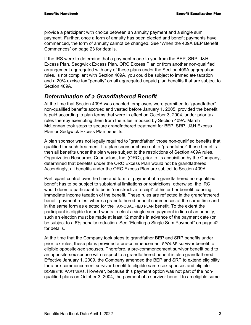provide a participant with choice between an annuity payment and a single sum payment. Further, once a form of annuity has been elected and benefit payments have commenced, the form of annuity cannot be changed. See "When the 409A BEP Benefit Commences" on page 23 for details.

If the IRS were to determine that a payment made to you from the BEP, SRP, J&H Excess Plan, Sedgwick Excess Plan, ORC Excess Plan or from another non-qualified arrangement aggregated with any of these plans under the Section 409A aggregation rules, is not compliant with Section 409A, you could be subject to immediate taxation and a 20% excise tax "penalty" on all aggregated unpaid plan benefits that are subject to Section 409A.

### *Determination of a Grandfathered Benefit*

At the time that Section 409A was enacted, employers were permitted to "grandfather" non-qualified benefits accrued and vested before January 1, 2005, provided the benefit is paid according to plan terms that were in effect on October 3, 2004, under prior tax rules thereby exempting them from the rules imposed by Section 409A. Marsh McLennan took steps to secure grandfathered treatment for BEP, SRP, J&H Excess Plan or Sedgwick Excess Plan benefits.

A plan sponsor was not legally required to "grandfather" those non-qualified benefits that qualified for such treatment. If a plan sponsor chose not to "grandfather" those benefits then all benefits under the plan were subject to the restrictions of Section 409A rules. Organization Resources Counselors, Inc. (ORC), prior to its acquisition by the Company, determined that benefits under the ORC Excess Plan would not be grandfathered. Accordingly, all benefits under the ORC Excess Plan are subject to Section 409A.

Participant control over the time and form of payment of a grandfathered non-qualified benefit has to be subject to substantial limitations or restrictions; otherwise, the IRC would deem a participant to be in "constructive receipt" of his or her benefit, causing immediate income taxation of the benefit. These rules are reflected in the grandfathered benefit payment rules, where a grandfathered benefit commences at the same time and in the same form as elected for the TAX-QUALIFIED PLAN benefit. To the extent the participant is eligible for and wants to elect a single sum payment in lieu of an annuity, such an election must be made at least 12 months in advance of the payment date (or be subject to a 6% penalty reduction. See "Electing a Single Sum Payment" on page 42 for details.

At the time that the Company took steps to grandfather BEP and SRP benefits under prior tax rules, these plans provided a pre-commencement SPOUSE survivor benefit to eligible opposite-sex spouses. Therefore, a pre-commencement survivor benefit paid to an opposite-sex spouse with respect to a grandfathered benefit is also grandfathered. Effective January 1, 2009, the Company amended the BEP and SRP to extend eligibility for a pre-commencement survivor benefit to eligible same-sex spouses and eligible DOMESTIC PARTNERs. However, because this payment option was not part of the nonqualified plans on October 3, 2004, the payment of a survivor benefit to an eligible same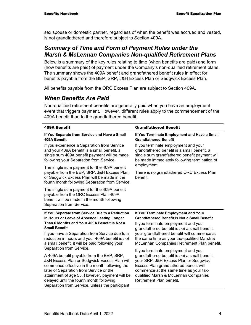sex spouse or domestic partner, regardless of when the benefit was accrued and vested, is not grandfathered and therefore subject to Section 409A.

### *Summary of Time and Form of Payment Rules under the Marsh & McLennan Companies Non-qualified Retirement Plans*

Below is a summary of the key rules relating to time (when benefits are paid) and form (how benefits are paid) of payment under the Company's non-qualified retirement plans. The summary shows the 409A benefit and grandfathered benefit rules in effect for benefits payable from the BEP, SRP, J&H Excess Plan or Sedgwick Excess Plan.

All benefits payable from the ORC Excess Plan are subject to Section 409A.

### *When Benefits Are Paid*

Non-qualified retirement benefits are generally paid when you have an employment event that triggers payment. However, different rules apply to the commencement of the 409A benefit than to the grandfathered benefit.

| <b>409A Benefit</b>                                                                                                                                             | <b>Grandfathered Benefit</b>                                     |
|-----------------------------------------------------------------------------------------------------------------------------------------------------------------|------------------------------------------------------------------|
| If You Separate from Service and Have a Small                                                                                                                   | If You Terminate Employment and Have a Small                     |
| 409A Benefit                                                                                                                                                    | <b>Grandfathered Benefit</b>                                     |
| If you experience a Separation from Service                                                                                                                     | If you terminate employment and your                             |
| and your 409A benefit is a small benefit, a                                                                                                                     | grandfathered benefit is a small benefit, a                      |
| single sum 409A benefit payment will be made                                                                                                                    | single sum grandfathered benefit payment will                    |
| following your Separation from Service.                                                                                                                         | be made immediately following termination of                     |
| The single sum payment for the 409A benefit                                                                                                                     | employment.                                                      |
| payable from the BEP, SRP, J&H Excess Plan<br>or Sedgwick Excess Plan will be made in the<br>fourth month following Separation from Service.                    | There is no grandfathered ORC Excess Plan<br>benefit.            |
| The single sum payment for the 409A benefit<br>payable from the ORC Excess Plan 409A<br>benefit will be made in the month following<br>Separation from Service. |                                                                  |
| If You Separate from Service Due to a Reduction                                                                                                                 | If You Terminate Employment and Your                             |
| in Hours or Leave of Absence Lasting Longer                                                                                                                     | <b>Grandfathered Benefit is Not a Small Benefit</b>              |
| Than 6 Months and Your 409A Benefit is Not a                                                                                                                    | If you terminate employment and your                             |
| <b>Small Benefit</b>                                                                                                                                            | grandfathered benefit is not a small benefit,                    |
| If you have a Separation from Service due to a                                                                                                                  | your grandfathered benefit will commence at                      |
| reduction in hours and your 409A benefit is not                                                                                                                 | the same time as your tax-qualified Marsh &                      |
| a small benefit, it will be paid following your                                                                                                                 | McLennan Companies Retirement Plan benefit.                      |
| Separation from Service.                                                                                                                                        | If you terminate employment and your                             |
| A 409A benefit payable from the BEP, SRP,                                                                                                                       | grandfathered benefit is not a small benefit,                    |
| J&H Excess Plan or Sedgwick Excess Plan will                                                                                                                    | your SRP, J&H Excess Plan or Sedgwick                            |
| commence effective in the month following the                                                                                                                   | Excess Plan grandfathered benefit will                           |
| later of Separation from Service or the                                                                                                                         | commence at the same time as your tax-                           |
| attainment of age 55. However, payment will be<br>delayed until the fourth month following<br>Separation from Service, unless the participant                   | qualified Marsh & McLennan Companies<br>Retirement Plan benefit. |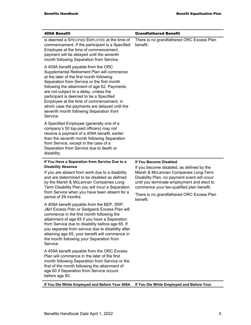| 409A Benefit                                                                                                                                                                                                                                                                                                                                                                                                                                                                                                                                                                                                                                                                                                 | <b>Grandfathered Benefit</b>                                                                                                                                                                                                                                                                                     |
|--------------------------------------------------------------------------------------------------------------------------------------------------------------------------------------------------------------------------------------------------------------------------------------------------------------------------------------------------------------------------------------------------------------------------------------------------------------------------------------------------------------------------------------------------------------------------------------------------------------------------------------------------------------------------------------------------------------|------------------------------------------------------------------------------------------------------------------------------------------------------------------------------------------------------------------------------------------------------------------------------------------------------------------|
| is deemed a SPECIFIED EMPLOYEE at the time of<br>commencement. If the participant is a Specified<br>Employee at the time of commencement,<br>payment will be delayed until the seventh<br>month following Separation from Service.                                                                                                                                                                                                                                                                                                                                                                                                                                                                           | There is no grandfathered ORC Excess Plan<br>benefit.                                                                                                                                                                                                                                                            |
| A 409A benefit payable from the ORC<br>Supplemental Retirement Plan will commence<br>at the later of the first month following<br>Separation from Service or the first month<br>following the attainment of age 62. Payments<br>are not subject to a delay, unless the<br>participant is deemed to be a Specified<br>Employee at the time of commencement, in<br>which case the payments are delayed until the<br>seventh month following Separation from<br>Service.                                                                                                                                                                                                                                        |                                                                                                                                                                                                                                                                                                                  |
| A Specified Employee (generally one of a<br>company's 50 top-paid officers) may not<br>receive a payment of a 409A benefit, earlier<br>than the seventh month following Separation<br>from Service, except in the case of a<br>Separation from Service due to death or<br>disability.                                                                                                                                                                                                                                                                                                                                                                                                                        |                                                                                                                                                                                                                                                                                                                  |
| If You Have a Separation from Service Due to a<br><b>Disability Absence</b><br>If you are absent from work due to a disability<br>and are determined to be disabled as defined<br>by the Marsh & McLennan Companies Long-<br>Term Disability Plan you will incur a Separation<br>from Service when you have been absent for a<br>period of 29 months.<br>A 409A benefit payable from the BEP, SRP,<br>J&H Excess Plan or Sedgwick Excess Plan will<br>commence in the first month following the<br>attainment of age 65 if you have a Separation<br>from Service due to disability before age 65. If<br>you separate from service due to disability after<br>attaining age 65, your benefit will commence in | If You Become Disabled<br>If you become disabled, as defined by the<br>Marsh & McLennan Companies Long-Term<br>Disability Plan, no payment event will occur<br>until you terminate employment and elect to<br>commence your tax-qualified plan benefit.<br>There is no grandfathered ORC Excess Plan<br>benefit. |
| the month following your Separation from<br>Service.<br>A 409A benefit payable from the ORC Excess<br>Plan will commence in the later of the first<br>month following Separation from Service or the<br>first of the month following the attainment of<br>age 60 if Separation from Service occurs<br>before age 60.                                                                                                                                                                                                                                                                                                                                                                                         |                                                                                                                                                                                                                                                                                                                  |
| If You Die While Employed and Before Your 409A                                                                                                                                                                                                                                                                                                                                                                                                                                                                                                                                                                                                                                                               | If You Die While Employed and Before Your                                                                                                                                                                                                                                                                        |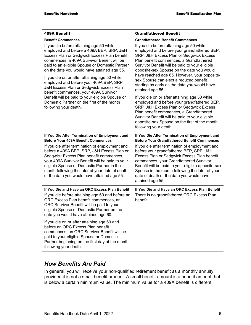| <b>409A Benefit</b>                                                                                                                                                                                                                                                                                                                        | <b>Grandfathered Benefit</b>                                                                                                                                                                                                                                                                                                                                |
|--------------------------------------------------------------------------------------------------------------------------------------------------------------------------------------------------------------------------------------------------------------------------------------------------------------------------------------------|-------------------------------------------------------------------------------------------------------------------------------------------------------------------------------------------------------------------------------------------------------------------------------------------------------------------------------------------------------------|
| <b>Benefit Commences</b>                                                                                                                                                                                                                                                                                                                   | <b>Grandfathered Benefit Commences</b>                                                                                                                                                                                                                                                                                                                      |
| If you die before attaining age 50 while<br>employed and before a 409A BEP, SRP, J&H<br>Excess Plan or Sedgwick Excess Plan benefit<br>commences, a 409A Survivor Benefit will be<br>paid to an eligible Spouse or Domestic Partner<br>on the date you would have attained age 55.<br>If you die on or after attaining age 50 while        | If you die before attaining age 50 while<br>employed and before your grandfathered BEP,<br>SRP, J&H Excess Plan or Sedgwick Excess<br>Plan benefit commences, a Grandfathered<br>Survivor Benefit will be paid to your eligible<br>opposite-sex Spouse on the date you would<br>have reached age 65. However, your opposite-                                |
| employed and before your 409A BEP, SRP,<br>J&H Excess Plan or Sedgwick Excess Plan<br>benefit commences, your 409A Survivor                                                                                                                                                                                                                | sex Spouse can elect a reduced benefit<br>starting as early as the date you would have<br>attained age 55.                                                                                                                                                                                                                                                  |
| Benefit will be paid to your eligible Spouse or<br>Domestic Partner on the first of the month<br>following your death.                                                                                                                                                                                                                     | If you die on or after attaining age 50 while<br>employed and before your grandfathered BEP,<br>SRP, J&H Excess Plan or Sedgwick Excess<br>Plan benefit commences, a Grandfathered<br>Survivor Benefit will be paid to your eligible<br>opposite-sex Spouse on the first of the month<br>following your death.                                              |
| If You Die After Termination of Employment and<br><b>Before Your 409A Benefit Commences</b>                                                                                                                                                                                                                                                | If You Die After Termination of Employment and<br><b>Before Your Grandfathered Benefit Commences</b>                                                                                                                                                                                                                                                        |
| If you die after termination of employment and<br>before a 409A BEP, SRP, J&H Excess Plan or<br>Sedgwick Excess Plan benefit commences,<br>your 409A Survivor Benefit will be paid to your<br>eligible Spouse or Domestic Partner in the<br>month following the later of your date of death<br>or the date you would have attained age 55. | If you die after termination of employment and<br>before your grandfathered BEP, SRP, J&H<br>Excess Plan or Sedgwick Excess Plan benefit<br>commences, your Grandfathered Survivor<br>Benefit will be paid to your eligible opposite-sex<br>Spouse in the month following the later of your<br>date of death or the date you would have<br>attained age 55. |
| If You Die and Have an ORC Excess Plan Benefit<br>If you die before attaining age 60 and before an<br>ORC Excess Plan benefit commences, an<br>ORC Survivor Benefit will be paid to your<br>eligible Spouse or Domestic Partner on the<br>date you would have attained age 60.                                                             | If You Die and Have an ORC Excess Plan Benefit<br>There is no grandfathered ORC Excess Plan<br>benefit.                                                                                                                                                                                                                                                     |
| If you die on or after attaining age 60 and<br>before an ORC Excess Plan benefit<br>commences, an ORC Survivor Benefit will be<br>paid to your eligible Spouse or Domestic<br>Partner beginning on the first day of the month<br>following your death.                                                                                     |                                                                                                                                                                                                                                                                                                                                                             |

## *How Benefits Are Paid*

In general, you will receive your non-qualified retirement benefit as a monthly annuity, provided it is not a small benefit amount. A small benefit amount is a benefit amount that is below a certain minimum value. The minimum value for a 409A benefit is different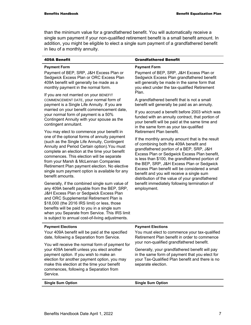than the minimum value for a grandfathered benefit. You will automatically receive a single sum payment if your non-qualified retirement benefit is a small benefit amount. In addition, you might be eligible to elect a single sum payment of a grandfathered benefit in lieu of a monthly annuity.

| $\overline{a}$ and $\overline{b}$ are $\overline{a}$ and $\overline{a}$ and $\overline{a}$                                                                                                                                                                                                                                                                                                                                                                                                                                                                                                                                                                                                                                                                                                                                                                                                                                                                                                                                                                                                                                                                                                                                                                                                                                                           |                                                                                                                                                                                                                                                                                                                                                                                                                                                                                                                                                                                                                                                                                                                                                                                                                                                                                                                                                                                                                                                                 |  |
|------------------------------------------------------------------------------------------------------------------------------------------------------------------------------------------------------------------------------------------------------------------------------------------------------------------------------------------------------------------------------------------------------------------------------------------------------------------------------------------------------------------------------------------------------------------------------------------------------------------------------------------------------------------------------------------------------------------------------------------------------------------------------------------------------------------------------------------------------------------------------------------------------------------------------------------------------------------------------------------------------------------------------------------------------------------------------------------------------------------------------------------------------------------------------------------------------------------------------------------------------------------------------------------------------------------------------------------------------|-----------------------------------------------------------------------------------------------------------------------------------------------------------------------------------------------------------------------------------------------------------------------------------------------------------------------------------------------------------------------------------------------------------------------------------------------------------------------------------------------------------------------------------------------------------------------------------------------------------------------------------------------------------------------------------------------------------------------------------------------------------------------------------------------------------------------------------------------------------------------------------------------------------------------------------------------------------------------------------------------------------------------------------------------------------------|--|
| <b>409A Benefit</b>                                                                                                                                                                                                                                                                                                                                                                                                                                                                                                                                                                                                                                                                                                                                                                                                                                                                                                                                                                                                                                                                                                                                                                                                                                                                                                                                  | <b>Grandfathered Benefit</b>                                                                                                                                                                                                                                                                                                                                                                                                                                                                                                                                                                                                                                                                                                                                                                                                                                                                                                                                                                                                                                    |  |
| <b>Payment Form</b><br>Payment of BEP, SRP, J&H Excess Plan or<br>Sedgwick Excess Plan or ORC Excess Plan<br>409A benefit will generally be made as a<br>monthly payment in the normal form.<br>If you are not married on your BENEFIT<br>COMMENCEMENT DATE, your normal form of<br>payment is a Single Life Annuity. If you are<br>married on your benefit commencement date,<br>your normal form of payment is a 50%<br>Contingent Annuity with your spouse as the<br>contingent annuitant.<br>You may elect to commence your benefit in<br>one of the optional forms of annuity payment<br>(such as the Single Life Annuity, Contingent<br>Annuity and Period Certain option). You must<br>complete an election at the time your benefit<br>commences. This election will be separate<br>from your Marsh & McLennan Companies<br>Retirement Plan payment election. No elective<br>single sum payment option is available for any<br>benefit amounts.<br>Generally, if the combined single sum value of<br>any 409A benefit payable from the BEP, SRP,<br>J&H Excess Plan or Sedgwick Excess Plan<br>and ORC Supplemental Retirement Plan is<br>\$18,000 (the 2016 IRS limit) or less, those<br>benefits will be paid to you in a single sum<br>when you Separate from Service. This IRS limit<br>is subject to annual cost-of-living adjustments. | <b>Payment Form</b><br>Payment of BEP, SRP, J&H Excess Plan or<br>Sedgwick Excess Plan grandfathered benefit<br>will generally be made in the same form that<br>you elect under the tax-qualified Retirement<br>Plan.<br>A grandfathered benefit that is not a small<br>benefit will generally be paid as an annuity.<br>If you accrued a benefit before 2003 which was<br>funded with an annuity contract, that portion of<br>your benefit will be paid at the same time and<br>in the same form as your tax-qualified<br>Retirement Plan benefit.<br>If the monthly annuity amount that is the result<br>of combining both the 409A benefit and<br>grandfathered portion of a BEP, SRP, J&H<br>Excess Plan or Sedgwick Excess Plan benefit,<br>is less than \$100, the grandfathered portion of<br>the BEP, SRP, J&H Excess Plan or Sedgwick<br>Excess Plan benefit will be considered a small<br>benefit and you will receive a single sum<br>distribution of the value of your grandfathered<br>benefit immediately following termination of<br>employment. |  |
| <b>Payment Elections</b><br>Your 409A benefit will be paid at the specified                                                                                                                                                                                                                                                                                                                                                                                                                                                                                                                                                                                                                                                                                                                                                                                                                                                                                                                                                                                                                                                                                                                                                                                                                                                                          | <b>Payment Elections</b><br>You must elect to commence your tax-qualified                                                                                                                                                                                                                                                                                                                                                                                                                                                                                                                                                                                                                                                                                                                                                                                                                                                                                                                                                                                       |  |
| date, following a Separation from Service.                                                                                                                                                                                                                                                                                                                                                                                                                                                                                                                                                                                                                                                                                                                                                                                                                                                                                                                                                                                                                                                                                                                                                                                                                                                                                                           | Retirement Plan benefit in order to commence<br>your non-qualified grandfathered benefit.                                                                                                                                                                                                                                                                                                                                                                                                                                                                                                                                                                                                                                                                                                                                                                                                                                                                                                                                                                       |  |
| You will receive the normal form of payment for                                                                                                                                                                                                                                                                                                                                                                                                                                                                                                                                                                                                                                                                                                                                                                                                                                                                                                                                                                                                                                                                                                                                                                                                                                                                                                      |                                                                                                                                                                                                                                                                                                                                                                                                                                                                                                                                                                                                                                                                                                                                                                                                                                                                                                                                                                                                                                                                 |  |

Generally, your grandfathered benefit will pay in the same form of payment that you elect for your Tax-Qualified Plan benefit and there is no separate election.

**Single Sum Option Community Community Single Sum Option Community Community Community Community Community Community Community Community Community Community Community Community Community Community Community Community Commu** 

Service.

your 409A benefit unless you elect another payment option. If you wish to make an election for another payment option, you may make this election at the time your benefit commences, following a Separation from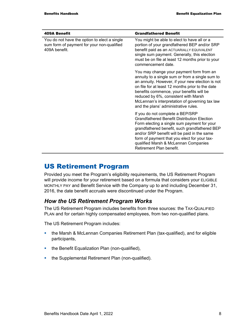| <b>409A Benefit</b>                                                                                         | <b>Grandfathered Benefit</b>                                                                                                                                                                                                                                                                                                                                                      |
|-------------------------------------------------------------------------------------------------------------|-----------------------------------------------------------------------------------------------------------------------------------------------------------------------------------------------------------------------------------------------------------------------------------------------------------------------------------------------------------------------------------|
| You do not have the option to elect a single<br>sum form of payment for your non-qualified<br>409A benefit. | You might be able to elect to have all or a<br>portion of your grandfathered BEP and/or SRP<br>benefit paid as an ACTUARIALLY EQUIVALENT<br>single sum payment. Generally, this election<br>must be on file at least 12 months prior to your<br>commencement date.                                                                                                                |
|                                                                                                             | You may change your payment form from an<br>annuity to a single sum or from a single sum to<br>an annuity. However, if your new election is not<br>on file for at least 12 months prior to the date<br>benefits commence, your benefits will be<br>reduced by 6%, consistent with Marsh<br>McLennan's interpretation of governing tax law<br>and the plans' administrative rules. |
|                                                                                                             | If you do not complete a BEP/SRP<br><b>Grandfathered Benefit Distribution Election</b><br>Form electing a single sum payment for your<br>grandfathered benefit, such grandfathered BEP<br>and/or SRP benefit will be paid in the same<br>form of payment that you elect for your tax-<br>qualified Marsh & McLennan Companies<br>Retirement Plan benefit.                         |

# US Retirement Program

Provided you meet the Program's eligibility requirements, the US Retirement Program will provide income for your retirement based on a formula that considers your ELIGIBLE MONTHLY PAY and Benefit Service with the Company up to and including December 31, 2016, the date benefit accruals were discontinued under the Program.

### *How the US Retirement Program Works*

The US Retirement Program includes benefits from three sources: the TAX-QUALIFIED PLAN and for certain highly compensated employees, from two non-qualified plans.

The US Retirement Program includes:

- the Marsh & McLennan Companies Retirement Plan (tax-qualified), and for eligible participants,
- the Benefit Equalization Plan (non-qualified),
- the Supplemental Retirement Plan (non-qualified).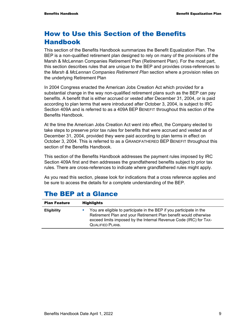# How to Use this Section of the Benefits Handbook

This section of the Benefits Handbook summarizes the Benefit Equalization Plan. The BEP is a non-qualified retirement plan designed to rely on many of the provisions of the Marsh & McLennan Companies Retirement Plan (Retirement Plan). For the most part, this section describes rules that are unique to the BEP and provides cross-references to the *Marsh & McLennan Companies Retirement Plan* section where a provision relies on the underlying Retirement Plan

In 2004 Congress enacted the American Jobs Creation Act which provided for a substantial change in the way non-qualified retirement plans such as the BEP can pay benefits. A benefit that is either accrued or vested after December 31, 2004, or is paid according to plan terms that were introduced after October 3, 2004, is subject to IRC Section 409A and is referred to as a 409A BEP BENEFIT throughout this section of the Benefits Handbook.

At the time the American Jobs Creation Act went into effect, the Company elected to take steps to preserve prior tax rules for benefits that were accrued and vested as of December 31, 2004, provided they were paid according to plan terms in effect on October 3, 2004. This is referred to as a GRANDFATHERED BEP BENEFIT throughout this section of the Benefits Handbook.

This section of the Benefits Handbook addresses the payment rules imposed by IRC Section 409A first and then addresses the grandfathered benefits subject to prior tax rules. There are cross-references to indicate where grandfathered rules might apply.

As you read this section, please look for indications that a cross reference applies and be sure to access the details for a complete understanding of the BEP.

| <b>Plan Feature</b> | <b>Highlights</b>                                                                                                                                                                                                                        |
|---------------------|------------------------------------------------------------------------------------------------------------------------------------------------------------------------------------------------------------------------------------------|
| <b>Eligibility</b>  | You are eligible to participate in the BEP if you participate in the<br>Retirement Plan and your Retirement Plan benefit would otherwise<br>exceed limits imposed by the Internal Revenue Code (IRC) for TAX-<br><b>QUALIFIED PLANS.</b> |

### The BEP at a Glance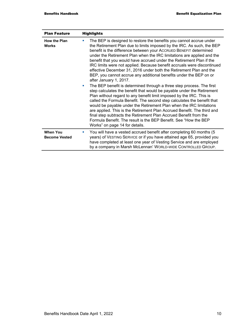| <b>Plan Feature</b>                     | <b>Highlights</b>                                                                                                                                                                                                                                                                                                                                                                                                                                                                                                                                                                                                                                 |
|-----------------------------------------|---------------------------------------------------------------------------------------------------------------------------------------------------------------------------------------------------------------------------------------------------------------------------------------------------------------------------------------------------------------------------------------------------------------------------------------------------------------------------------------------------------------------------------------------------------------------------------------------------------------------------------------------------|
| <b>How the Plan</b><br><b>Works</b>     | The BEP is designed to restore the benefits you cannot accrue under<br>a.<br>the Retirement Plan due to limits imposed by the IRC. As such, the BEP<br>benefit is the difference between your ACCRUED BENEFIT determined<br>under the Retirement Plan when the IRC limitations are applied and the<br>benefit that you would have accrued under the Retirement Plan if the<br>IRC limits were not applied. Because benefit accruals were discontinued<br>effective December 31, 2016 under both the Retirement Plan and the<br>BEP, you cannot accrue any additional benefits under the BEP on or<br>after January 1, 2017.                       |
|                                         | The BEP benefit is determined through a three step process. The first<br>$\blacksquare$<br>step calculates the benefit that would be payable under the Retirement<br>Plan without regard to any benefit limit imposed by the IRC. This is<br>called the Formula Benefit. The second step calculates the benefit that<br>would be payable under the Retirement Plan when the IRC limitations<br>are applied. This is the Retirement Plan Accrued Benefit. The third and<br>final step subtracts the Retirement Plan Accrued Benefit from the<br>Formula Benefit. The result is the BEP Benefit. See "How the BEP<br>Works" on page 14 for details. |
| <b>When You</b><br><b>Become Vested</b> | You will have a vested accrued benefit after completing 60 months (5)<br>ш<br>years) of VESTING SERVICE or if you have attained age 65, provided you<br>have completed at least one year of Vesting Service and are employed<br>by a company in Marsh McLennan' WORLD-WIDE CONTROLLED GROUP.                                                                                                                                                                                                                                                                                                                                                      |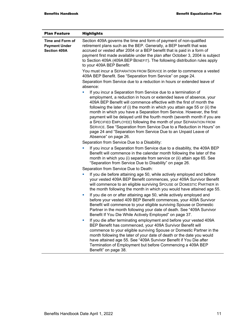| <b>Plan Feature</b>                                             | <b>Highlights</b>                                                                                                                                                                                                                                                                                                                                                                                                                                                                                                                                                                                                                                                                                                                               |
|-----------------------------------------------------------------|-------------------------------------------------------------------------------------------------------------------------------------------------------------------------------------------------------------------------------------------------------------------------------------------------------------------------------------------------------------------------------------------------------------------------------------------------------------------------------------------------------------------------------------------------------------------------------------------------------------------------------------------------------------------------------------------------------------------------------------------------|
| Time and Form of<br><b>Payment Under</b><br><b>Section 409A</b> | Section 409A governs the time and form of payment of non-qualified<br>retirement plans such as the BEP. Generally, a BEP benefit that was<br>accrued or vested after 2004 or a BEP benefit that is paid in a form of<br>payment first made available under the plan after October 3, 2004 is subject<br>to Section 409A (409A BEP BENEFIT). The following distribution rules apply<br>to your 409A BEP Benefit:                                                                                                                                                                                                                                                                                                                                 |
|                                                                 | You must incur a SEPARATION FROM SERVICE in order to commence a vested<br>409A BEP Benefit. See "Separation from Service" on page 24.                                                                                                                                                                                                                                                                                                                                                                                                                                                                                                                                                                                                           |
|                                                                 | Separation from Service due to a reduction in hours or extended leave of<br>absence:                                                                                                                                                                                                                                                                                                                                                                                                                                                                                                                                                                                                                                                            |
|                                                                 | If you incur a Separation from Service due to a termination of<br>L,<br>employment, a reduction in hours or extended leave of absence, your<br>409A BEP Benefit will commence effective with the first of month the<br>following the later of (i) the month in which you attain age 55 or (ii) the<br>month in which you have a Separation from Service. However, the first<br>payment will be delayed until the fourth month (seventh month if you are<br>a SPECIFIED EMPLOYEE) following the month of your SEPARATION FROM<br>SERVICE. See "Separation from Service Due to a Reduction in Hours" on<br>page 24 and "Separation from Service Due to an Unpaid Leave of<br>Absence" on page 26.<br>Separation from Service Due to a Disability: |
|                                                                 | If you incur a Separation from Service due to a disability, the 409A BEP<br>Benefit will commence in the calendar month following the later of the<br>month in which you (i) separate from service or (ii) attain age 65. See<br>"Separation from Service Due to Disability" on page 26.                                                                                                                                                                                                                                                                                                                                                                                                                                                        |
|                                                                 | Separation from Service Due to Death:                                                                                                                                                                                                                                                                                                                                                                                                                                                                                                                                                                                                                                                                                                           |
|                                                                 | If you die before attaining age 50, while actively employed and before<br>ш<br>your vested 409A BEP Benefit commences, your 409A Survivor Benefit<br>will commence to an eligible surviving SPOUSE or DOMESTIC PARTNER in<br>the month following the month in which you would have attained age 55.<br>If you die on or after attaining age 50, while actively employed and<br>ш<br>before your vested 409 BEP Benefit commences, your 409A Survivor<br>Benefit will commence to your eligible surviving Spouse or Domestic<br>Partner in the month following your date of death. See "409A Survivor<br>Benefit If You Die While Actively Employed" on page 37.                                                                                 |
|                                                                 | If you die after terminating employment and before your vested 409A<br>×<br>BEP Benefit has commenced, your 409A Survivor Benefit will<br>commence to your eligible surviving Spouse or Domestic Partner in the<br>month following the later of your date of death or the date you would<br>have attained age 55. See "409A Survivor Benefit if You Die after<br>Termination of Employment but before Commencing a 409A BEP<br>Benefit" on page 38.                                                                                                                                                                                                                                                                                             |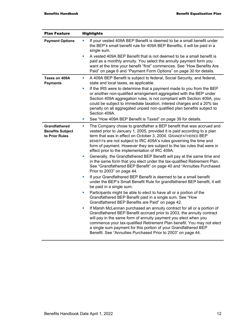| <b>Plan Feature</b>                                               | <b>Highlights</b>                                                                                                                                                                                                                                                                                                                                                                                                                       |
|-------------------------------------------------------------------|-----------------------------------------------------------------------------------------------------------------------------------------------------------------------------------------------------------------------------------------------------------------------------------------------------------------------------------------------------------------------------------------------------------------------------------------|
| <b>Payment Options</b>                                            | If your vested 409A BEP Benefit is deemed to be a small benefit under<br><b>C</b><br>the BEP's small benefit rule for 409A BEP Benefits, it will be paid in a<br>single sum.                                                                                                                                                                                                                                                            |
|                                                                   | A vested 409A BEP Benefit that is not deemed to be a small benefit is<br>L.<br>paid as a monthly annuity. You select the annuity payment form you<br>want at the time your benefit "first" commences. See "How Benefits Are<br>Paid" on page 6 and "Payment Form Options" on page 30 for details.                                                                                                                                       |
| Taxes on 409A<br><b>Payments</b>                                  | A 409A BEP Benefit is subject to federal, Social Security, and federal,<br>ш<br>state and local taxes, as applicable.                                                                                                                                                                                                                                                                                                                   |
|                                                                   | If the IRS were to determine that a payment made to you from the BEP<br>L.<br>or another non-qualified arrangement aggregated with the BEP under<br>Section 409A aggregation rules, is not compliant with Section 409A, you<br>could be subject to immediate taxation, interest charges and a 20% tax<br>penalty on all aggregated unpaid non-qualified plan benefits subject to<br>Section 409A.                                       |
|                                                                   | See "How 409A BEP Benefit is Taxed" on page 39 for details.<br>ш                                                                                                                                                                                                                                                                                                                                                                        |
| <b>Grandfathered</b><br><b>Benefits Subject</b><br>to Prior Rules | The Company chose to grandfather a BEP benefit that was accrued and<br>$\blacksquare$<br>vested prior to January 1, 2005, provided it is paid according to a plan<br>term that was in effect on October 3, 2004. GRANDFATHERED BEP<br>BENEFITS are not subject to IRC 409A's rules governing the time and<br>form of payment. However they are subject to the tax rules that were in<br>effect prior to the implementation of IRC 409A. |
|                                                                   | Generally, the Grandfathered BEP Benefit will pay at the same time and<br>L.<br>in the same form that you elect under the tax-qualified Retirement Plan.<br>See "Grandfathered BEP Benefit" on page 40 and "Annuities Purchased<br>Prior to 2003" on page 44.                                                                                                                                                                           |
|                                                                   | If your Grandfathered BEP Benefit is deemed to be a small benefit<br>under the BEP's Small Benefit Rule for grandfathered BEP benefit, it will<br>be paid in a single sum.                                                                                                                                                                                                                                                              |
|                                                                   | Participants might be able to elect to have all or a portion of the<br>ш<br>Grandfathered BEP Benefit paid in a single sum. See "How<br>Grandfathered BEP Benefits are Paid" on page 42.                                                                                                                                                                                                                                                |
|                                                                   | If Marsh McLennan purchased an annuity contract for all or a portion of<br>ш<br>Grandfathered BEP Benefit accrued prior to 2003, the annuity contract<br>will pay in the same form of annuity payment you elect when you<br>commence your tax-qualified Retirement Plan benefit. You may not elect<br>a single sum payment for this portion of your Grandfathered BEP<br>Benefit. See "Annuities Purchased Prior to 2003" on page 44.   |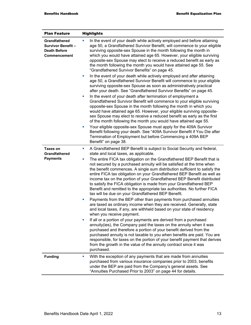| <b>Plan Feature</b>                                                              | <b>Highlights</b>                                                                                                                                                                                                                                                                                                                                                                                                                                                                                                                                                                                                                                                                                                                                                                                                                                                                                                                                                                                                                                                                                                                                                                                                                                                                                                                                                                                                                                                                                            |
|----------------------------------------------------------------------------------|--------------------------------------------------------------------------------------------------------------------------------------------------------------------------------------------------------------------------------------------------------------------------------------------------------------------------------------------------------------------------------------------------------------------------------------------------------------------------------------------------------------------------------------------------------------------------------------------------------------------------------------------------------------------------------------------------------------------------------------------------------------------------------------------------------------------------------------------------------------------------------------------------------------------------------------------------------------------------------------------------------------------------------------------------------------------------------------------------------------------------------------------------------------------------------------------------------------------------------------------------------------------------------------------------------------------------------------------------------------------------------------------------------------------------------------------------------------------------------------------------------------|
| Grandfathered<br><b>Survivor Benefit-</b><br><b>Death Before</b><br>Commencement | In the event of your death while actively employed and before attaining<br>×,<br>age 50, a Grandfathered Survivor Benefit, will commence to your eligible<br>surviving opposite-sex Spouse in the month following the month in<br>which you would have attained age 65. However, your eligible surviving<br>opposite-sex Spouse may elect to receive a reduced benefit as early as<br>the month following the month you would have attained age 55. See<br>"Grandfathered Survivor Benefits" on page 45.<br>In the event of your death while actively employed and after attaining<br>ш<br>age 50, a Grandfathered Survivor Benefit will commence to your eligible<br>surviving opposite-sex Spouse as soon as administratively practical<br>after your death. See "Grandfathered Survivor Benefits" on page 45.<br>In the event of your death after termination of employment a<br>ш<br>Grandfathered Survivor Benefit will commence to your eligible surviving<br>opposite-sex Spouse in the month following the month in which you<br>would have attained age 65. However, your eligible surviving opposite-<br>sex Spouse may elect to receive a reduced benefit as early as the first<br>of the month following the month you would have attained age 55.<br>Your eligible opposite-sex Spouse must apply for the 409A Survivor<br>ш<br>Benefit following your death. See "409A Survivor Benefit if You Die after<br>Termination of Employment but before Commencing a 409A BEP<br>Benefit" on page 38. |
| <b>Taxes on</b><br><b>Grandfathered</b><br><b>Payments</b>                       | A Grandfathered BEP Benefit is subject to Social Security and federal,<br>ш<br>state and local taxes, as applicable.<br>The entire FICA tax obligation on the Grandfathered BEP Benefit that is<br>ш<br>not secured by a purchased annuity will be satisfied at the time when<br>the benefit commences. A single sum distribution sufficient to satisfy the<br>entire FICA tax obligation on your Grandfathered BEP Benefit as well as<br>income tax on the portion of your Grandfathered BEP Benefit distributed<br>to satisfy the FICA obligation is made from your Grandfathered BEP<br>Benefit and remitted to the appropriate tax authorities. No further FICA<br>tax will be due on your Grandfathered BEP Benefit.<br>Payments from the BEP other than payments from purchased annuities<br>ш<br>are taxed as ordinary income when they are received. Generally, state<br>and local taxes, if any, are withheld based on your state of residency<br>when you receive payment.<br>If all or a portion of your payments are derived from a purchased<br>annuity(ies), the Company paid the taxes on the annuity when it was<br>purchased and therefore a portion of your benefit derived from the<br>purchased annuity is not taxable to you when benefits are paid. You are<br>responsible, for taxes on the portion of your benefit payment that derives<br>from the growth in the value of the annuity contract since it was<br>purchased.                                                           |
| <b>Funding</b>                                                                   | With the exception of any payments that are made from annuities<br>×<br>purchased from various insurance companies prior to 2003, benefits<br>under the BEP are paid from the Company's general assets. See<br>"Annuities Purchased Prior to 2003" on page 44 for details.                                                                                                                                                                                                                                                                                                                                                                                                                                                                                                                                                                                                                                                                                                                                                                                                                                                                                                                                                                                                                                                                                                                                                                                                                                   |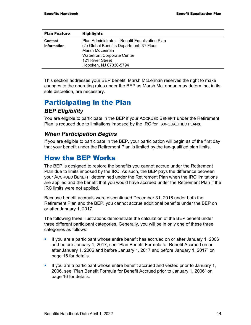| <b>Plan Feature</b>                  | <b>Highlights</b>                                                                                                                                                                                 |
|--------------------------------------|---------------------------------------------------------------------------------------------------------------------------------------------------------------------------------------------------|
| <b>Contact</b><br><b>Information</b> | Plan Administrator – Benefit Equalization Plan<br>c/o Global Benefits Department, 3rd Floor<br>Marsh McLennan<br><b>Waterfront Corporate Center</b><br>121 River Street<br>Hoboken, NJ 07030-5794 |

This section addresses your BEP benefit. Marsh McLennan reserves the right to make changes to the operating rules under the BEP as Marsh McLennan may determine, in its sole discretion, are necessary.

# Participating in the Plan *BEP Eligibility*

You are eligible to participate in the BEP if your ACCRUED BENEFIT under the Retirement Plan is reduced due to limitations imposed by the IRC for TAX-QUALIFIED PLANs.

#### *When Participation Begins*

If you are eligible to participate in the BEP, your participation will begin as of the first day that your benefit under the Retirement Plan is limited by the tax-qualified plan limits.

# How the BEP Works

The BEP is designed to restore the benefits you cannot accrue under the Retirement Plan due to limits imposed by the IRC. As such, the BEP pays the difference between your ACCRUED BENEFIT determined under the Retirement Plan when the IRC limitations are applied and the benefit that you would have accrued under the Retirement Plan if the IRC limits were not applied.

Because benefit accruals were discontinued December 31, 2016 under both the Retirement Plan and the BEP, you cannot accrue additional benefits under the BEP on or after January 1, 2017.

The following three illustrations demonstrate the calculation of the BEP benefit under three different participant categories. Generally, you will be in only one of these three categories as follows:

- If you are a participant whose entire benefit has accrued on or after January 1, 2006 and before January 1, 2017, see "Plan Benefit Formula for Benefit Accrued on or after January 1, 2006 and before January 1, 2017 and before January 1, 2017" on page 15 for details.
- If you are a participant whose entire benefit accrued and vested prior to January 1, 2006, see "Plan Benefit Formula for Benefit Accrued prior to January 1, 2006" on page 16 for details.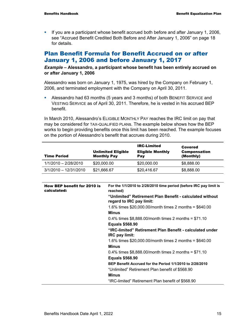If you are a participant whose benefit accrued both before and after January 1, 2006, see "Accrued Benefit Credited Both Before and After January 1, 2006" on page 18 for details.

### Plan Benefit Formula for Benefit Accrued on or after January 1, 2006 and before January 1, 2017

*Example –* **Alessandro, a participant whose benefit has been entirely accrued on or after January 1, 2006** 

Alessandro was born on January 1, 1975, was hired by the Company on February 1, 2006, and terminated employment with the Company on April 30, 2011.

 Alessandro had 63 months (5 years and 3 months) of both BENEFIT SERVICE and VESTING SERVICE as of April 30, 2011. Therefore, he is vested in his accrued BEP benefit.

In March 2010, Alessandro's ELIGIBLE MONTHLY PAY reaches the IRC limit on pay that may be considered for TAX-QUALIFIED PLANs. The example below shows how the BEP works to begin providing benefits once this limit has been reached. The example focuses on the portion of Alessandro's benefit that accrues during 2010.

| <b>Time Period</b>      | <b>Unlimited Eligible</b><br><b>Monthly Pay</b> | <b>IRC-Limited</b><br><b>Eligible Monthly</b><br>Pay | Covered<br><b>Compensation</b><br>(Monthly) |
|-------------------------|-------------------------------------------------|------------------------------------------------------|---------------------------------------------|
| 1/1/2010 - 2/28/2010    | \$20,000.00                                     | \$20,000.00                                          | \$8,888.00                                  |
| $3/1/2010 - 12/31/2010$ | \$21,666.67                                     | \$20,416.67                                          | \$8,888.00                                  |

| <b>How BEP benefit for 2010 is</b><br>calculated: | For the 1/1/2010 to 2/28/2010 time period (before IRC pay limit is<br>reached)       |
|---------------------------------------------------|--------------------------------------------------------------------------------------|
|                                                   | "Unlimited" Retirement Plan Benefit - calculated without<br>regard to IRC pay limit: |
|                                                   | 1.6% times $$20,000.00/m$ onth times 2 months = $$640.00$                            |
|                                                   | <b>Minus</b>                                                                         |
|                                                   | 0.4% times $$8,888.00$ /month times 2 months = $$71.10$                              |
|                                                   | <b>Equals \$568.90</b>                                                               |
|                                                   | "IRC-limited" Retirement Plan Benefit - calculated under<br><b>IRC</b> pay limit:    |
|                                                   | 1.6% times $$20,000.00/m$ onth times 2 months = $$640.00$                            |
|                                                   | <b>Minus</b>                                                                         |
|                                                   | 0.4% times $$8,888.00$ /month times 2 months = $$71.10$                              |
|                                                   | <b>Equals \$568.90</b>                                                               |
|                                                   | BEP Benefit Accrued for the Period 1/1/2010 to 2/28/2010                             |
|                                                   | "Unlimited" Retirement Plan benefit of \$568.90                                      |
|                                                   | <b>Minus</b>                                                                         |
|                                                   | "IRC-limited" Retirement Plan benefit of \$568.90"                                   |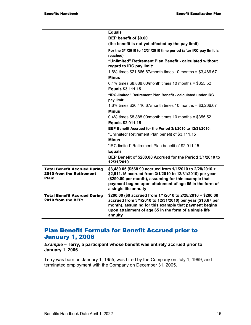|                                                                                 | <b>Equals</b>                                                                                                                                                                                                                                                     |
|---------------------------------------------------------------------------------|-------------------------------------------------------------------------------------------------------------------------------------------------------------------------------------------------------------------------------------------------------------------|
|                                                                                 | BEP benefit of \$0.00                                                                                                                                                                                                                                             |
|                                                                                 | (the benefit is not yet affected by the pay limit)                                                                                                                                                                                                                |
|                                                                                 | For the 3/1/2010 to 12/31/2010 time period (after IRC pay limit is<br>reached)                                                                                                                                                                                    |
|                                                                                 | "Unlimited" Retirement Plan Benefit - calculated without<br>regard to IRC pay limit:                                                                                                                                                                              |
|                                                                                 | 1.6% times \$21,666.67/month times 10 months = \$3,466.67<br><b>Minus</b>                                                                                                                                                                                         |
|                                                                                 |                                                                                                                                                                                                                                                                   |
|                                                                                 | 0.4% times $$8,888.00/m$ onth times 10 months = $$355.52$<br>Equals \$3,111.15                                                                                                                                                                                    |
|                                                                                 | "IRC-limited" Retirement Plan Benefit - calculated under IRC<br>pay limit:                                                                                                                                                                                        |
|                                                                                 | 1.6% times \$20,416.67/month times 10 months = \$3,266.67                                                                                                                                                                                                         |
|                                                                                 | <b>Minus</b>                                                                                                                                                                                                                                                      |
|                                                                                 | 0.4% times $$8,888.00/m$ onth times 10 months = $$355.52$                                                                                                                                                                                                         |
|                                                                                 | Equals \$2,911.15                                                                                                                                                                                                                                                 |
|                                                                                 | BEP Benefit Accrued for the Period 3/1/2010 to 12/31/2010:                                                                                                                                                                                                        |
|                                                                                 | "Unlimited" Retirement Plan benefit of \$3,111.15                                                                                                                                                                                                                 |
|                                                                                 | <b>Minus</b>                                                                                                                                                                                                                                                      |
|                                                                                 | "IRC-limited" Retirement Plan benefit of \$2,911.15                                                                                                                                                                                                               |
|                                                                                 | <b>Equals</b>                                                                                                                                                                                                                                                     |
|                                                                                 | BEP Benefit of \$200.00 Accrued for the Period 3/1/2010 to<br>12/31/2010                                                                                                                                                                                          |
| <b>Total Benefit Accrued During</b><br><b>2010 from the Retirement</b><br>Plan: | \$3,480.05 (\$568.90 accrued from 1/1/2010 to 2/28/2010 +<br>\$2,911.15 accrued from 3/1/2010 to 12/31/2010) per year<br>(\$290.00 per month), assuming for this example that<br>payment begins upon attainment of age 65 in the form of<br>a single life annuity |
| <b>Total Benefit Accrued During</b><br>2010 from the BEP:                       | \$200.00 (\$0 accrued from 1/1/2010 to 2/28/2010 + \$200.00<br>accrued from 3/1/2010 to 12/31/2010) per year (\$16.67 per<br>month), assuming for this example that payment begins<br>upon attainment of age 65 in the form of a single life<br>annuity           |

#### Plan Benefit Formula for Benefit Accrued prior to January 1, 2006

*Example –* **Terry, a participant whose benefit was entirely accrued prior to January 1, 2006** 

Terry was born on January 1, 1955, was hired by the Company on July 1, 1999, and terminated employment with the Company on December 31, 2005.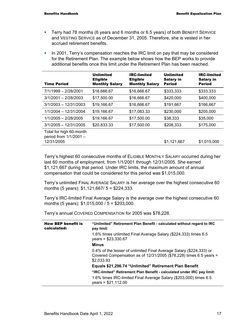- Terry had 78 months (6 years and 6 months or 6.5 years) of both BENEFIT SERVICE and VESTING SERVICE as of December 31, 2005. Therefore, she is vested in her accrued retirement benefits.
- In 2001, Terry's compensation reaches the IRC limit on pay that may be considered for the Retirement Plan. The example below shows how the BEP works to provide additional benefits once this limit under the Retirement Plan has been reached.

| <b>Time Period</b>                                              | <b>Unlimited</b><br><b>Eligible</b><br><b>Monthly Salary</b> | <b>IRC-limited</b><br><b>Eligible</b><br><b>Monthly Salary</b> | <b>Unlimited</b><br><b>Salary in</b><br><b>Period</b> | <b>IRC-limited</b><br><b>Salary in</b><br><b>Period</b> |
|-----------------------------------------------------------------|--------------------------------------------------------------|----------------------------------------------------------------|-------------------------------------------------------|---------------------------------------------------------|
| 7/1/1999 - 2/28/2001                                            | \$16,666.67                                                  | \$16,666.67                                                    | \$333,333                                             | \$333,333                                               |
| $3/1/2001 - 2/28/2003$                                          | \$17,500.00                                                  | \$16,666.67                                                    | \$420,000                                             | \$400,000                                               |
| $3/1/2003 - 12/31/2003$                                         | \$19,166.67                                                  | \$16,666.67                                                    | \$191,667                                             | \$166,667                                               |
| $1/1/2004 - 12/31/2004$                                         | \$19,166.67                                                  | \$17,083.33                                                    | \$230,000                                             | \$205,000                                               |
| $1/1/2005 - 2/28/2005$                                          | \$19,166.67                                                  | \$17,500.00                                                    | \$38,333                                              | \$35,000                                                |
| $3/1/2005 - 12/31/2005$                                         | \$20,833.33                                                  | \$17,500.00                                                    | \$208,333                                             | \$175,000                                               |
| Total for high 60-month<br>period from 1/1/2001 -<br>12/31/2005 |                                                              |                                                                | \$1,121,667                                           | \$1,015,000                                             |

Terry's highest 60 consecutive months of ELIGIBLE MONTHLY SALARY occurred during her last 60 months of employment, from 1/1/2001 through 12/31/2005. She earned \$1,121,667 during that period. Under IRC limits, the maximum amount of annual compensation that could be considered for this period was \$1,015,000.

Terry's unlimited FINAL AVERAGE SALARY is her average over the highest consecutive 60 months (5 years): \$1,121,667/ 5 = \$224,333.

Terry's IRC-limited Final Average Salary is the average over the highest consecutive 60 months (5 years): \$1,015,000 / 5 = \$203,000.

Terry's annual COVERED COMPENSATION for 2005 was \$78,228.

| <b>How BEP benefit is</b><br>calculated: | "Unlimited" Retirement Plan Benefit - calculated without regard to IRC<br>pay limit:                                                                      |
|------------------------------------------|-----------------------------------------------------------------------------------------------------------------------------------------------------------|
|                                          | 1.6% times unlimited Final Average Salary (\$224,333) times 6.5<br>$years = $23,330.67$                                                                   |
|                                          | <b>Minus</b>                                                                                                                                              |
|                                          | 0.4% of the lesser of unlimited Final Average Salary (\$224,333) or<br>Covered Compensation as of $12/31/2005$ (\$78,228) times 6.5 years =<br>\$2,033.93 |
|                                          | Equals \$21,296.74 "Unlimited" Retirement Plan Benefit                                                                                                    |
|                                          | "IRC-limited" Retirement Plan Benefit - calculated under IRC pay limit:                                                                                   |
|                                          | 1.6% times IRC-limited Final Average Salary (\$203,000) times 6.5<br>$years = $21,112.00$                                                                 |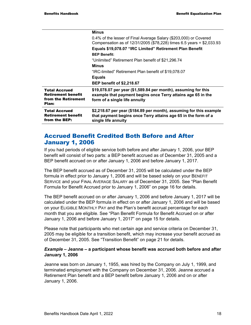|                                                                                   | <b>Minus</b>                                                                                                                                                    |
|-----------------------------------------------------------------------------------|-----------------------------------------------------------------------------------------------------------------------------------------------------------------|
|                                                                                   | 0.4% of the lesser of Final Average Salary (\$203,000) or Covered<br>Compensation as of 12/31/2005 (\$78,228) times 6.5 years = \$2,033.93                      |
|                                                                                   | Equals \$19,078.07 "IRC Limited" Retirement Plan Benefit                                                                                                        |
|                                                                                   | <b>BEP Benefit:</b>                                                                                                                                             |
|                                                                                   | "Unlimited" Retirement Plan benefit of \$21,296.74                                                                                                              |
|                                                                                   | <b>Minus</b>                                                                                                                                                    |
|                                                                                   | "IRC-limited" Retirement Plan benefit of \$19,078.07                                                                                                            |
|                                                                                   | <b>Equals</b>                                                                                                                                                   |
|                                                                                   | <b>BEP benefit of \$2,218.67</b>                                                                                                                                |
| <b>Total Accrued</b><br><b>Retirement benefit</b><br>from the Retirement<br>Plan: | \$19,078.07 per year (\$1,589.84 per month), assuming for this<br>example that payment begins once Terry attains age 65 in the<br>form of a single life annuity |
| <b>Total Accrued</b><br><b>Retirement benefit</b><br>from the BEP:                | \$2,218.67 per year (\$184.89 per month), assuming for this example<br>that payment begins once Terry attains age 65 in the form of a<br>single life annuity    |

#### Accrued Benefit Credited Both Before and After January 1, 2006

If you had periods of eligible service both before and after January 1, 2006, your BEP benefit will consist of two parts: a BEP benefit accrued as of December 31, 2005 and a BEP benefit accrued on or after January 1, 2006 and before January 1, 2017.

The BEP benefit accrued as of December 31, 2005 will be calculated under the BEP formula in effect prior to January 1, 2006 and will be based solely on your BENEFIT SERVICE and your FINAL AVERAGE SALARY as of December 31, 2005. See "Plan Benefit Formula for Benefit Accrued prior to January 1, 2006" on page 16 for details.

The BEP benefit accrued on or after January 1, 2006 and before January 1, 2017 will be calculated under the BEP formula in effect on or after January 1, 2006 and will be based on your ELIGIBLE MONTHLY PAY and the Plan's benefit accrual percentage for each month that you are eligible. See "Plan Benefit Formula for Benefit Accrued on or after January 1, 2006 and before January 1, 2017" on page 15 for details.

Please note that participants who met certain age and service criteria on December 31, 2005 may be eligible for a transition benefit, which may increase your benefit accrued as of December 31, 2005. See "Transition Benefit" on page 21 for details.

#### *Example* **– Jeanne – a participant whose benefit was accrued both before and after January 1, 2006**

Jeanne was born on January 1, 1955, was hired by the Company on July 1, 1999, and terminated employment with the Company on December 31, 2006. Jeanne accrued a Retirement Plan benefit and a BEP benefit before January 1, 2006 and on or after January 1, 2006.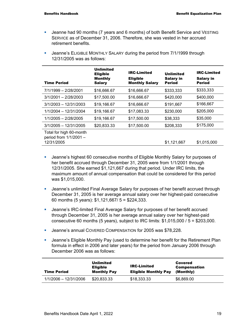- Jeanne had 90 months (7 years and 6 months) of both Benefit Service and VESTING SERVICE as of December 31, 2006. Therefore, she was vested in her accrued retirement benefits.
- **Jeanne's ELIGIBLE MONTHLY SALARY during the period from 7/1/1999 through** 12/31/2005 was as follows:

| <b>Time Period</b>                                              | Unlimited<br><b>Eligible</b><br><b>Monthly</b><br><b>Salary</b> | <b>IRC-Limited</b><br><b>Eligible</b><br><b>Monthly Salary</b> | <b>Unlimited</b><br><b>Salary in</b><br><b>Period</b> | <b>IRC-Limited</b><br><b>Salary in</b><br><b>Period</b> |
|-----------------------------------------------------------------|-----------------------------------------------------------------|----------------------------------------------------------------|-------------------------------------------------------|---------------------------------------------------------|
| 7/1/1999 - 2/28/2001                                            | \$16,666.67                                                     | \$16,666.67                                                    | \$333,333                                             | \$333,333                                               |
| $3/1/2001 - 2/28/2003$                                          | \$17,500.00                                                     | \$16,666.67                                                    | \$420,000                                             | \$400,000                                               |
| $3/1/2003 - 12/31/2003$                                         | \$19,166.67                                                     | \$16,666.67                                                    | \$191,667                                             | \$166,667                                               |
| 1/1/2004 - 12/31/2004                                           | \$19,166.67                                                     | \$17,083.33                                                    | \$230,000                                             | \$205,000                                               |
| $1/1/2005 - 2/28/2005$                                          | \$19,166.67                                                     | \$17,500.00                                                    | \$38,333                                              | \$35,000                                                |
| $3/1/2005 - 12/31/2005$                                         | \$20,833.33                                                     | \$17,500.00                                                    | \$208,333                                             | \$175,000                                               |
| Total for high 60-month<br>period from 1/1/2001 -<br>12/31/2005 |                                                                 |                                                                | \$1,121,667                                           | \$1.015.000                                             |

- **Jeanne's highest 60 consecutive months of Eligible Monthly Salary for purposes of** her benefit accrued through December 31, 2005 were from 1/1/2001 through 12/31/2005. She earned \$1,121,667 during that period. Under IRC limits, the maximum amount of annual compensation that could be considered for this period was \$1,015,000.
- Jeanne's unlimited Final Average Salary for purposes of her benefit accrued through December 31, 2005 is her average annual salary over her highest-paid consecutive 60 months (5 years): \$1,121,667/ 5 = \$224,333.
- **Jeanne's IRC-limited Final Average Salary for purposes of her benefit accrued** through December 31, 2005 is her average annual salary over her highest-paid consecutive 60 months (5 years), subject to IRC limits:  $$1,015,000 / 5 = $203,000$ .
- Jeanne's annual COVERED COMPENSATION for 2005 was \$78,228.
- Jeanne's Eligible Monthly Pay (used to determine her benefit for the Retirement Plan formula in effect in 2006 and later years) for the period from January 2006 through December 2006 was as follows:

| <b>Time Period</b>    | Unlimited<br><b>Eligible</b><br><b>Monthly Pay</b> | <b>IRC-Limited</b><br><b>Eligible Monthly Pay</b> | Covered<br><b>Compensation</b><br>(Monthiv) |
|-----------------------|----------------------------------------------------|---------------------------------------------------|---------------------------------------------|
| 1/1/2006 - 12/31/2006 | \$20,833.33                                        | \$18,333.33                                       | \$6,869.00                                  |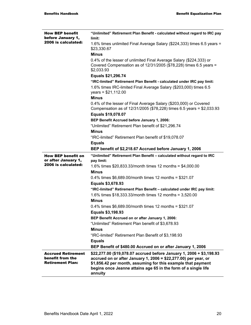| <b>How BEP benefit</b><br>before January 1,                              | "Unlimited" Retirement Plan Benefit - calculated without regard to IRC pay<br>limit:                                                                                                                                                                                                 |
|--------------------------------------------------------------------------|--------------------------------------------------------------------------------------------------------------------------------------------------------------------------------------------------------------------------------------------------------------------------------------|
| 2006 is calculated:                                                      | 1.6% times unlimited Final Average Salary (\$224,333) times 6.5 years =<br>\$23,330.67                                                                                                                                                                                               |
|                                                                          | <b>Minus</b>                                                                                                                                                                                                                                                                         |
|                                                                          | 0.4% of the lesser of unlimited Final Average Salary (\$224,333) or<br>Covered Compensation as of 12/31/2005 (\$78,228) times 6.5 years =<br>\$2,033.93                                                                                                                              |
|                                                                          | Equals \$21,296.74                                                                                                                                                                                                                                                                   |
|                                                                          | "IRC-limited" Retirement Plan Benefit - calculated under IRC pay limit:<br>1.6% times IRC-limited Final Average Salary (\$203,000) times 6.5<br>$years = $21,112.00$                                                                                                                 |
|                                                                          | <b>Minus</b>                                                                                                                                                                                                                                                                         |
|                                                                          | 0.4% of the lesser of Final Average Salary (\$203,000) or Covered<br>Compensation as of 12/31/2005 (\$78,228) times 6.5 years = \$2,033.93                                                                                                                                           |
|                                                                          | Equals \$19,078.07                                                                                                                                                                                                                                                                   |
|                                                                          | BEP Benefit Accrued before January 1, 2006:                                                                                                                                                                                                                                          |
|                                                                          | "Unlimited" Retirement Plan benefit of \$21,296.74                                                                                                                                                                                                                                   |
|                                                                          | <b>Minus</b>                                                                                                                                                                                                                                                                         |
|                                                                          | "IRC-limited" Retirement Plan benefit of \$19,078.07                                                                                                                                                                                                                                 |
|                                                                          | <b>Equals</b><br>BEP benefit of \$2,218.67 Accrued before January 1, 2006                                                                                                                                                                                                            |
|                                                                          |                                                                                                                                                                                                                                                                                      |
| <b>How BEP benefit on</b><br>or after January 1,                         | "Unlimited" Retirement Plan Benefit - calculated without regard to IRC<br>pay limit:                                                                                                                                                                                                 |
| 2006 is calculated:                                                      | 1.6% times $$20,833.33/m$ onth times 12 months = $$4,000.00$                                                                                                                                                                                                                         |
|                                                                          | <b>Minus</b>                                                                                                                                                                                                                                                                         |
|                                                                          | 0.4% times $$6,689.00/m$ onth times 12 months = $$321.07$                                                                                                                                                                                                                            |
|                                                                          | Equals \$3,678.93                                                                                                                                                                                                                                                                    |
|                                                                          | "IRC-limited" Retirement Plan Benefit - calculated under IRC pay limit:                                                                                                                                                                                                              |
|                                                                          | 1.6% times $$18,333.33/$ month times 12 months = 3,520.00                                                                                                                                                                                                                            |
|                                                                          | <b>Minus</b>                                                                                                                                                                                                                                                                         |
|                                                                          | 0.4% times $$6,689.00/m$ onth times 12 months = $$321.07$                                                                                                                                                                                                                            |
|                                                                          | Equals \$3,198.93                                                                                                                                                                                                                                                                    |
|                                                                          | BEP Benefit Accrued on or after January 1, 2006:                                                                                                                                                                                                                                     |
|                                                                          | "Unlimited" Retirement Plan benefit of \$3,678.93                                                                                                                                                                                                                                    |
|                                                                          | <b>Minus</b>                                                                                                                                                                                                                                                                         |
|                                                                          | "IRC-limited" Retirement Plan Benefit of \$3,198.93                                                                                                                                                                                                                                  |
|                                                                          | <b>Equals</b>                                                                                                                                                                                                                                                                        |
|                                                                          | BEP Benefit of \$480.00 Accrued on or after January 1, 2006                                                                                                                                                                                                                          |
| <b>Accrued Retirement</b><br>benefit from the<br><b>Retirement Plan:</b> | \$22,277.00 (\$19,078.07 accrued before January 1, 2006 + \$3,198.93<br>accrued on or after January 1, 2006 = \$22,277.00) per year, or<br>\$1,856.42 per month, assuming for this example that payment<br>begins once Jeanne attains age 65 in the form of a single life<br>annuity |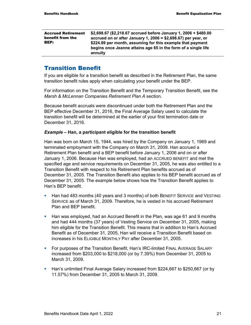| <b>Accrued Retirement</b><br>benefit from the<br><b>BEP:</b> | \$2,698.67 (\$2,218.67 accrued before January 1, 2006 + \$480.00<br>accrued on or after January 1, 2006 = \$2,698.67) per year, or<br>\$224.89 per month, assuming for this example that payment<br>begins once Jeanne attains age 65 in the form of a single life<br>annuity |
|--------------------------------------------------------------|-------------------------------------------------------------------------------------------------------------------------------------------------------------------------------------------------------------------------------------------------------------------------------|
|--------------------------------------------------------------|-------------------------------------------------------------------------------------------------------------------------------------------------------------------------------------------------------------------------------------------------------------------------------|

#### Transition Benefit

If you are eligible for a transition benefit as described in the Retirement Plan, the same transition benefit rules apply when calculating your benefit under the BEP.

For information on the Transition Benefit and the Temporary Transition Benefit, see the *Marsh & McLennan Companies Retirement Plan A* section.

Because benefit accruals were discontinued under both the Retirement Plan and the BEP effective December 31, 2016, the Final Average Salary used to calculate the transition benefit will be determined at the earlier of your first termination date or December 31, 2016.

#### *Example* **– Han, a participant eligible for the transition benefit**

Han was born on March 15, 1944, was hired by the Company on January 1, 1969 and terminated employment with the Company on March 31, 2009. Han accrued a Retirement Plan benefit and a BEP benefit before January 1, 2006 and on or after January 1, 2006. Because Han was employed, had an ACCRUED BENEFIT and met the specified age and service requirements on December 31, 2005, he was also entitled to a Transition Benefit with respect to his Retirement Plan benefits accrued as of December 31, 2005. The Transition Benefit also applies to his BEP benefit accrued as of December 31, 2005. The example below shows how the Transition Benefit applies to Han's BEP benefit.

- **Han had 483 months (40 years and 3 months) of both BENEFIT SERVICE and VESTING** SERVICE as of March 31, 2009. Therefore, he is vested in his accrued Retirement Plan and BEP benefit.
- Han was employed, had an Accrued Benefit in the Plan, was age 61 and 9 months and had 444 months (37 years) of Vesting Service on December 31, 2005, making him eligible for the Transition Benefit. This means that in addition to Han's Accrued Benefit as of December 31, 2005, Han will receive a Transition Benefit based on increases in his ELIGIBLE MONTHLY PAY after December 31, 2005.
- **For purposes of the Transition Benefit, Han's IRC-limited FINAL AVERAGE SALARY** increased from \$203,000 to \$218,000 (or by 7.39%) from December 31, 2005 to March 31, 2009.
- Han's unlimited Final Average Salary increased from \$224,667 to \$250,667 (or by 11.57%) from December 31, 2005 to March 31, 2009.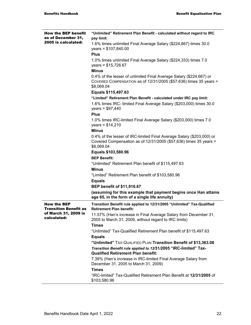| <b>How the BEP benefit</b><br>as of December 31,   | "Unlimited" Retirement Plan Benefit - calculated without regard to IRC<br>pay limit:                                                                       |
|----------------------------------------------------|------------------------------------------------------------------------------------------------------------------------------------------------------------|
| 2005 is calculated:                                | 1.6% times unlimited Final Average Salary (\$224,667) times 30.0<br>$years = $107,840.00$                                                                  |
|                                                    | <b>Plus</b>                                                                                                                                                |
|                                                    | 1.0% times unlimited Final Average Salary (\$224,333) times 7.0<br>years = $$15,726.67$                                                                    |
|                                                    | <b>Minus</b>                                                                                                                                               |
|                                                    | 0.4% of the lesser of unlimited Final Average Salary (\$224,667) or<br>COVERED COMPENSATION as of 12/31/2005 (\$57,636) times 35 years =<br>\$8,069.04     |
|                                                    | Equals \$115,497.63                                                                                                                                        |
|                                                    | "Limited" Retirement Plan Benefit - calculated under IRC pay limit:                                                                                        |
|                                                    | 1.6% times IRC- limited Final Average Salary (\$203,000) times 30.0<br>$years = $97,440$                                                                   |
|                                                    | <b>Plus</b>                                                                                                                                                |
|                                                    | 1.0% times IRC-limited Final Average Salary (\$203,000) times 7.0<br>$years = $14,210$                                                                     |
|                                                    | <b>Minus</b>                                                                                                                                               |
|                                                    | 0.4% of the lesser of IRC-limited Final Average Salary (\$203,000) or<br>Covered Compensation as of $12/31/2005$ (\$57,636) times 35 years =<br>\$8,069.04 |
|                                                    | Equals \$103,580.96                                                                                                                                        |
|                                                    | <b>BEP Benefit:</b>                                                                                                                                        |
|                                                    | "Unlimited" Retirement Plan benefit of \$115,497.63                                                                                                        |
|                                                    | <b>Minus</b>                                                                                                                                               |
|                                                    | "Limited" Retirement Plan benefit of \$103,580.96                                                                                                          |
|                                                    | <b>Equals</b>                                                                                                                                              |
|                                                    | <b>BEP benefit of \$11,916.67</b>                                                                                                                          |
|                                                    | (assuming for this example that payment begins once Han attains<br>age 65, in the form of a single life annuity)                                           |
| <b>How the BEP</b><br><b>Transition Benefit as</b> | Transition Benefit rule applied to 12/31/2005 "Unlimited" Tax-Qualified<br><b>Retirement Plan benefit:</b>                                                 |
| of March 31, 2009 is<br>calculated:                | 11.57% (Han's increase in Final Average Salary from December 31,<br>2005 to March 31, 2009, without regard to IRC limits)                                  |
|                                                    | <b>Times</b>                                                                                                                                               |
|                                                    | "Unlimited" Tax-Qualified Retirement Plan benefit of \$115,497.63                                                                                          |
|                                                    | <b>Equals</b>                                                                                                                                              |
|                                                    | "Unlimited" TAX-QUALIFIED PLAN Transition Benefit of \$13,363.08                                                                                           |
|                                                    | Transition Benefit rule applied to 12/31/2005 "IRC-limited" Tax-<br><b>Qualified Retirement Plan benefit:</b>                                              |
|                                                    | 7.39% (Han's increase in IRC-limited Final Average Salary from<br>December 31, 2005 to March 31, 2009)                                                     |
|                                                    | <b>Times</b>                                                                                                                                               |
|                                                    | "IRC-limited" Tax-Qualified Retirement Plan Benefit at 12/31/2005 of<br>\$103,580.96                                                                       |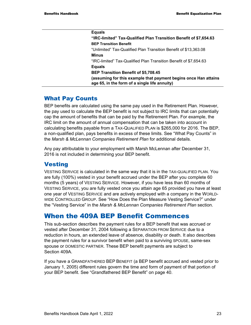| <b>Equals</b>                                                                                                    |
|------------------------------------------------------------------------------------------------------------------|
| "IRC-limited" Tax-Qualified Plan Transition Benefit of \$7,654.63                                                |
| <b>BEP Transition Benefit</b>                                                                                    |
| "Unlimited" Tax-Qualified Plan Transition Benefit of \$13,363.08                                                 |
| Minus                                                                                                            |
| "IRC-limited" Tax-Qualified Plan Transition Benefit of \$7,654.63                                                |
| <b>Equals</b>                                                                                                    |
| <b>BEP Transition Benefit of \$5,708.45</b>                                                                      |
| (assuming for this example that payment begins once Han attains<br>age 65, in the form of a single life annuity) |

#### What Pay Counts

BEP benefits are calculated using the same pay used in the Retirement Plan. However, the pay used to calculate the BEP benefit is not subject to IRC limits that can potentially cap the amount of benefits that can be paid by the Retirement Plan. For example, the IRC limit on the amount of annual compensation that can be taken into account in calculating benefits payable from a TAX-QUALIFIED PLAN is \$265,000 for 2016. The BEP, a non-qualified plan, pays benefits in excess of these limits. See "What Pay Counts" in the *Marsh & McLennan Companies Retirement Plan* for additional details.

Any pay attributable to your employment with Marsh McLennan after December 31, 2016 is not included in determining your BEP benefit.

### **Vesting**

VESTING SERVICE is calculated in the same way that it is in the TAX-QUALIFIED PLAN. You are fully (100%) vested in your benefit accrued under the BEP after you complete 60 months (5 years) of VESTING SERVICE. However, if you have less than 60 months of VESTING SERVICE, you are fully vested once you attain age 65 provided you have at least one year of VESTING SERVICE and are actively employed with a company in the WORLD-WIDE CONTROLLED GROUP. See "How Does the Plan Measure Vesting Service?" under the "Vesting Service" in the *Marsh & McLennan Companies Retirement Plan* section.

### When the 409A BEP Benefit Commences

This sub-section describes the payment rules for a BEP benefit that was accrued or vested after December 31, 2004 following a SEPARATION FROM SERVICE due to a reduction in hours, an extended leave of absence, disability or death. It also describes the payment rules for a survivor benefit when paid to a surviving SPOUSE, same-sex spouse or DOMESTIC PARTNER. These BEP benefit payments are subject to Section 409A.

If you have a GRANDFATHERED BEP BENEFIT (a BEP benefit accrued and vested prior to January 1, 2005) different rules govern the time and form of payment of that portion of your BEP benefit. See "Grandfathered BEP Benefit" on page 40.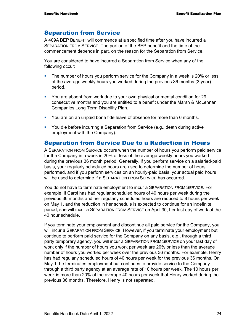### Separation from Service

A 409A BEP BENEFIT will commence at a specified time after you have incurred a SEPARATION FROM SERVICE. The portion of the BEP benefit and the time of the commencement depends in part, on the reason for the Separation from Service.

You are considered to have incurred a Separation from Service when any of the following occur:

- The number of hours you perform service for the Company in a week is 20% or less of the average weekly hours you worked during the previous 36 months (3 year) period.
- You are absent from work due to your own physical or mental condition for 29 consecutive months and you are entitled to a benefit under the Marsh & McLennan Companies Long Term Disability Plan.
- You are on an unpaid bona fide leave of absence for more than 6 months.
- You die before incurring a Separation from Service (e.g., death during active employment with the Company).

### Separation from Service Due to a Reduction in Hours

A SEPARATION FROM SERVICE occurs when the number of hours you perform paid service for the Company in a week is 20% or less of the average weekly hours you worked during the previous 36 month period. Generally, if you perform service on a salaried-paid basis, your regularly scheduled hours are used to determine the number of hours performed, and if you perform services on an hourly-paid basis, your actual paid hours will be used to determine if a SEPARATION FROM SERVICE has occurred.

You do not have to terminate employment to incur a SEPARATION FROM SERVICE. For example, if Carol has had regular scheduled hours of 40 hours per week during the previous 36 months and her regularly scheduled hours are reduced to 8 hours per week on May 1, and the reduction in her schedule is expected to continue for an indefinite period, she will incur a SEPARATION FROM SERVICE on April 30, her last day of work at the 40 hour schedule.

If you terminate your employment and discontinue all paid service for the Company, you will incur a SEPARATION FROM SERVICE. However, if you terminate your employment but continue to perform paid service for the Company on any basis, e.g., through a third party temporary agency, you will incur a SEPARATION FROM SERVICE on your last day of work only if the number of hours you work per week are 20% or less than the average number of hours you worked per week over the previous 36 months. For example, Henry has had regularly scheduled hours of 40 hours per week for the previous 36 months. On May 1, he terminates employment but continues to provide service to the Company through a third party agency at an average rate of 10 hours per week. The 10 hours per week is more than 20% of the average 40 hours per week that Henry worked during the previous 36 months. Therefore, Henry is not separated.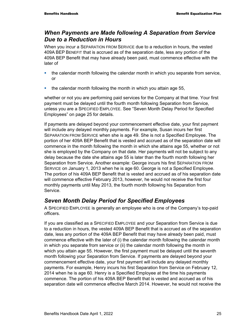### *When Payments are Made following A Separation from Service Due to a Reduction in Hours*

When you incur a SEPARATION FROM SERVICE due to a reduction in hours, the vested 409A BEP BENEFIT that is accrued as of the separation date, less any portion of the 409A BEP Benefit that may have already been paid, must commence effective with the later of

- the calendar month following the calendar month in which you separate from service, or
- the calendar month following the month in which you attain age 55,

whether or not you are performing paid services for the Company at that time. Your first payment must be delayed until the fourth month following Separation from Service, unless you are a SPECIFIED EMPLOYEE. See "Seven Month Delay Period for Specified Employees" on page 25 for details.

If payments are delayed beyond your commencement effective date, your first payment will include any delayed monthly payments. For example, Susan incurs her first SEPARATION FROM SERVICE when she is age 49. She is not a Specified Employee. The portion of her 409A BEP Benefit that is vested and accrued as of the separation date will commence in the month following the month in which she attains age 55, whether or not she is employed by the Company on that date. Her payments will not be subject to any delay because the date she attains age 55 is later than the fourth month following her Separation from Service. Another example: George incurs his first SEPARATION FROM SERVICE on January 1, 2013 when he is age 60. George is not a Specified Employee. The portion of his 409A BEP Benefit that is vested and accrued as of his separation date will commence effective February 2013, however, he would not receive the first four monthly payments until May 2013, the fourth month following his Separation from Service.

### *Seven Month Delay Period for Specified Employees*

A SPECIFIED EMPLOYEE is generally an employee who is one of the Company's top-paid officers.

If you are classified as a SPECIFIED EMPLOYEE and your Separation from Service is due to a reduction in hours, the vested 409A BEP Benefit that is accrued as of the separation date, less any portion of the 409A BEP Benefit that may have already been paid, must commence effective with the later of (i) the calendar month following the calendar month in which you separate from service or (ii) the calendar month following the month in which you attain age 55. However, the first payment must be delayed until the seventh month following your Separation from Service. If payments are delayed beyond your commencement effective date, your first payment will include any delayed monthly payments. For example, Henry incurs his first Separation from Service on February 12, 2014 when he is age 60. Henry is a Specified Employee at the time his payments commence. The portion of his 409A BEP Benefit that is vested and accrued as of his separation date will commence effective March 2014. However, he would not receive the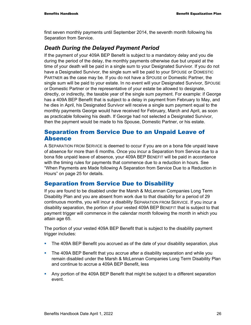first seven monthly payments until September 2014, the seventh month following his Separation from Service.

## *Death During the Delayed Payment Period*

If the payment of your 409A BEP Benefit is subject to a mandatory delay and you die during the period of the delay, the monthly payments otherwise due but unpaid at the time of your death will be paid in a single sum to your Designated Survivor. If you do not have a Designated Survivor, the single sum will be paid to your SPOUSE or DOMESTIC PARTNER as the case may be. If you do not have a SPOUSE or Domestic Partner, the single sum will be paid to your estate. In no event will your Designated Survivor, SPOUSE or Domestic Partner or the representative of your estate be allowed to designate, directly, or indirectly, the taxable year of the single sum payment. For example: if George has a 409A BEP Benefit that is subject to a delay in payment from February to May, and he dies in April, his Designated Survivor will receive a single sum payment equal to the monthly payments George would have received for February, March and April, as soon as practicable following his death. If George had not selected a Designated Survivor, then the payment would be made to his Spouse, Domestic Partner, or his estate.

#### Separation from Service Due to an Unpaid Leave of Absence

A SEPARATION FROM SERVICE is deemed to occur if you are on a bona fide unpaid leave of absence for more than 6 months. Once you incur a Separation from Service due to a bona fide unpaid leave of absence, your 409A BEP BENEFIT will be paid in accordance with the timing rules for payments that commence due to a reduction in hours. See "When Payments are Made following A Separation from Service Due to a Reduction in Hours" on page 25 for details*.* 

### Separation from Service Due to Disability

If you are found to be disabled under the Marsh & McLennan Companies Long Term Disability Plan and you are absent from work due to that disability for a period of 29 continuous months, you will incur a disability SEPARATION FROM SERVICE. If you incur a disability separation, the portion of your vested 409A BEP BENEFIT that is subject to that payment trigger will commence in the calendar month following the month in which you attain age 65.

The portion of your vested 409A BEP Benefit that is subject to the disability payment trigger includes:

- The 409A BEP Benefit you accrued as of the date of your disability separation, plus
- The 409A BEP Benefit that you accrue after a disability separation and while you remain disabled under the Marsh & McLennan Companies Long Term Disability Plan and continue to accrue a 409A BEP Benefit, less
- Any portion of the 409A BEP Benefit that might be subject to a different separation event.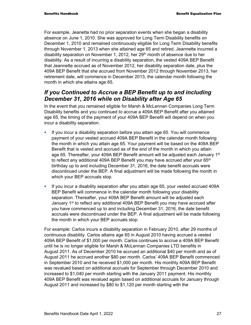For example, Jeanette had no prior separation events when she began a disability absence on June 1, 2010. She was approved for Long Term Disability benefits on December 1, 2010 and remained continuously eligible for Long Term Disability benefits through November 1, 2013 when she attained age 65 and retired. Jeannette incurred a disability separation on November 1, 2012, her 29<sup>th</sup> month of absence due to her disability. As a result of incurring a disability separation, the vested 409A BEP Benefit that Jeannette accrued as of November 2012, her disability separation date, plus the 409A BEP Benefit that she accrued from November 2012 through November 2013, her retirement date, will commence in December 2013, the calendar month following the month in which she attains age 65.

### *If you Continued to Accrue a BEP Benefit up to and including December 31, 2016 while on Disability after Age 65*

In the event that you remained eligible for Marsh & McLennan Companies Long Term Disability benefits and you continued to accrue a 409A BEP Benefit after you attained age 65, the timing of the payment of your 409A BEP Benefit will depend on when you incur a disability separation.

- If you incur a disability separation before you attain age 65. You will commence payment of your vested accrued 409A BEP Benefit in the calendar month following the month in which you attain age 65. Your payment will be based on the 409A BEP Benefit that is vested and accrued as of the end of the month in which you attain age 65. Thereafter, your 409A BEP Benefit amount will be adjusted each January 1st to reflect any additional 409A BEP Benefit you may have accrued after your 65<sup>th</sup> birthday up to and including December 31, 2016, the date benefit accruals were discontinued under the BEP. A final adjustment will be made following the month in which your BEP accruals stop.
- **If you incur a disability separation after you attain age 65, your vested accrued 409A** BEP Benefit will commence in the calendar month following your disability separation. Thereafter, your 409A BEP Benefit amount will be adjusted each January 1<sup>st</sup> to reflect any additional 409A BEP Benefit you may have accrued after you have commenced up to and including December 31, 2016, the date benefit accruals were discontinued under the BEP. A final adjustment will be made following the month in which your BEP accruals stop.

For example: Carlos incurs a disability separation in February 2010, after 29 months of continuous disability. Carlos attains age 65 in August 2010 having accrued a vested 409A BEP Benefit of \$1,000 per month. Carlos continues to accrue a 409A BEP Benefit until he is no longer eligible for Marsh & McLennan Companies LTD benefits in August 2011. As of December 2010 he accrued an additional \$40 per month and as of August 2011 he accrued another \$80 per month. Carlos' 409A BEP Benefit commenced in September 2010 and he received \$1,000 per month. His monthly 409A BEP Benefit was revalued based on additional accruals for September through December 2010 and increased to \$1,040 per month starting with the January 2011 payment. His monthly 409A BEP Benefit was revalued again based on additional accruals for January through August 2011 and increased by \$80 to \$1,120 per month starting with the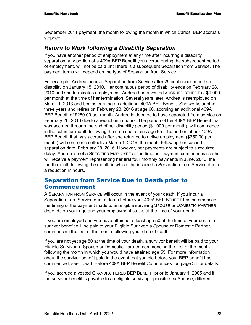September 2011 payment, the month following the month in which Carlos' BEP accruals stopped.

### *Return to Work following a Disability Separation*

If you have another period of employment at any time after incurring a disability separation, any portion of a 409A BEP Benefit you accrue during the subsequent period of employment, will not be paid until there is a subsequent Separation from Service. The payment terms will depend on the type of Separation from Service.

For example: Andrea incurs a Separation from Service after 29 continuous months of disability on January 15, 2010. Her continuous period of disability ends on February 28, 2010 and she terminates employment. Andrea had a vested ACCRUED BENEFIT of \$1,000 per month at the time of her termination. Several years later, Andrea is reemployed on March 1, 2013 and begins earning an additional 409A BEP Benefit. She works another three years and retires on February 28, 2016 at age 60, accruing an additional 409A BEP Benefit of \$250.00 per month. Andrea is deemed to have separated from service on February 28, 2016 due to a reduction in hours. The portion of her 409A BEP Benefit that was accrued through the end of her disability period (\$1,000 per month), will commence in the calendar month following the date she attains age 65. The portion of her 409A BEP Benefit that was accrued after she returned to active employment (\$250.00 per month) will commence effective March 1, 2016, the month following her second separation date, February 28, 2016. However, her payments are subject to a required delay. Andrea is not a SPECIFIED EMPLOYEE at the time her payment commences so she will receive a payment representing her first four monthly payments in June, 2016, the fourth month following the month in which she incurred a Separation from Service due to a reduction in hours.

### Separation from Service Due to Death prior to Commencement

A SEPARATION FROM SERVICE will occur in the event of your death. If you incur a Separation from Service due to death before your 409A BEP BENEFIT has commenced, the timing of the payment made to an eligible surviving SPOUSE or DOMESTIC PARTNER depends on your age and your employment status at the time of your death.

If you are employed and you have attained at least age 50 at the time of your death, a survivor benefit will be paid to your Eligible Survivor; a Spouse or Domestic Partner, commencing the first of the month following your date of death.

If you are not yet age 50 at the time of your death, a survivor benefit will be paid to your Eligible Survivor; a Spouse or Domestic Partner, commencing the first of the month following the month in which you would have attained age 55. For more information about the survivor benefit paid in the event that you die before your BEP benefit has commenced, see "Death Before 409A BEP Benefit Commences" on page 34 for details.

If you accrued a vested GRANDFATHERED BEP BENEFIT prior to January 1, 2005 and if the survivor benefit is payable to an eligible surviving opposite-sex Spouse, different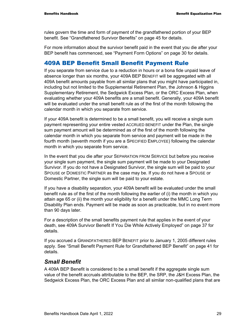rules govern the time and form of payment of the grandfathered portion of your BEP benefit. See "Grandfathered Survivor Benefits" on page 45 for details.

For more information about the survivor benefit paid in the event that you die after your BEP benefit has commenced, see "Payment Form Options" on page 30 for details.

#### 409A BEP Benefit Small Benefit Payment Rule

If you separate from service due to a reduction in hours or a bona fide unpaid leave of absence longer than six months, your 409A BEP BENEFIT will be aggregated with all 409A benefit amounts payable from all similar plans that you might have participated in, including but not limited to the Supplemental Retirement Plan, the Johnson & Higgins Supplementary Retirement, the Sedgwick Excess Plan, or the ORC Excess Plan, when evaluating whether your 409A benefits are a small benefit. Generally, your 409A benefit will be evaluated under the small benefit rule as of the first of the month following the calendar month in which you separate from service.

If your 409A benefit is determined to be a small benefit, you will receive a single sum payment representing your entire vested ACCRUED BENEFIT under the Plan, the single sum payment amount will be determined as of the first of the month following the calendar month in which you separate from service and payment will be made in the fourth month (seventh month if you are a SPECIFIED EMPLOYEE) following the calendar month in which you separate from service.

In the event that you die after your SEPARATION FROM SERVICE but before you receive your single sum payment, the single sum payment will be made to your Designated Survivor. If you do not have a Designated Survivor, the single sum will be paid to your SPOUSE or DOMESTIC PARTNER as the case may be. If you do not have a SPOUSE or Domestic Partner, the single sum will be paid to your estate.

If you have a disability separation, your 409A benefit will be evaluated under the small benefit rule as of the first of the month following the earlier of (i) the month in which you attain age 65 or (ii) the month your eligibility for a benefit under the MMC Long Term Disability Plan ends. Payment will be made as soon as practicable, but in no event more than 90 days later.

For a description of the small benefits payment rule that applies in the event of your death, see 409A Survivor Benefit If You Die While Actively Employed" on page 37 for details.

If you accrued a GRANDFATHERED BEP BENEFIT prior to January 1, 2005 different rules apply. See "Small Benefit Payment Rule for Grandfathered BEP Benefit" on page 41 for details.

#### *Small Benefit*

A 409A BEP Benefit is considered to be a small benefit if the aggregate single sum value of the benefit accruals attributable to the BEP, the SRP, the J&H Excess Plan, the Sedgwick Excess Plan, the ORC Excess Plan and all similar non-qualified plans that are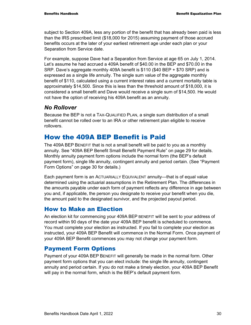subject to Section 409A, less any portion of the benefit that has already been paid is less than the IRS prescribed limit (\$18,000 for 2015) assuming payment of those accrued benefits occurs at the later of your earliest retirement age under each plan or your Separation from Service date.

For example, suppose Dave had a Separation from Service at age 65 on July 1, 2014. Let's assume he had accrued a 409A benefit of \$40.00 in the BEP and \$70.00 in the SRP. Dave's aggregate monthly 409A benefit is \$110 (\$40 BEP + \$70 SRP) and is expressed as a single life annuity. The single sum value of the aggregate monthly benefit of \$110, calculated using a current interest rates and a current mortality table is approximately \$14,500. Since this is less than the threshold amount of \$18,000, it is considered a small benefit and Dave would receive a single sum of \$14,500. He would not have the option of receiving his 409A benefit as an annuity.

#### *No Rollover*

Because the BEP is not a TAX-QUALIFIED PLAN, a single sum distribution of a small benefit cannot be rolled over to an IRA or other retirement plan eligible to receive rollovers.

# How the 409A BEP Benefit is Paid

The 409A BEP BENEFIT that is not a small benefit will be paid to you as a monthly annuity. See "409A BEP Benefit Small Benefit Payment Rule" on page 29 for details. Monthly annuity payment form options include the normal form (the BEP's default payment form), single life annuity, contingent annuity and period certain. (See "Payment Form Options" on page 30 for details.)

Each payment form is an ACTUARIALLY EQUIVALENT annuity—that is of equal value determined using the actuarial assumptions in the Retirement Plan. The differences in the amounts payable under each form of payment reflects any difference in age between you and, if applicable, the person you designate to receive your benefit when you die, the amount paid to the designated survivor, and the projected payout period.

#### How to Make an Election

An election kit for commencing your 409A BEP BENEFIT will be sent to your address of record within 90 days of the date your 409A BEP benefit is scheduled to commence. You must complete your election as instructed. If you fail to complete your election as instructed, your 409A BEP Benefit will commence in the Normal Form. Once payment of your 409A BEP Benefit commences you may not change your payment form.

### Payment Form Options

Payment of your 409A BEP BENEFIT will generally be made in the normal form. Other payment form options that you can elect include: the single life annuity, contingent annuity and period certain. If you do not make a timely election, your 409A BEP Benefit will pay in the normal form, which is the BEP's default payment form.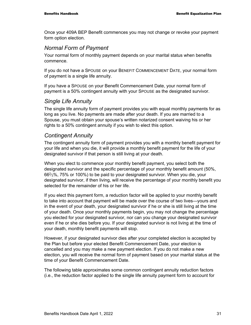Once your 409A BEP Benefit commences you may not change or revoke your payment form option election.

#### *Normal Form of Payment*

Your normal form of monthly payment depends on your marital status when benefits commence.

If you do not have a SPOUSE on your BENEFIT COMMENCEMENT DATE, your normal form of payment is a single life annuity.

If you have a SPOUSE on your Benefit Commencement Date, your normal form of payment is a 50% contingent annuity with your SPOUSE as the designated survivor.

#### *Single Life Annuity*

The single life annuity form of payment provides you with equal monthly payments for as long as you live. No payments are made after your death. If you are married to a Spouse, you must obtain your spouse's written notarized consent waiving his or her rights to a 50% contingent annuity if you wish to elect this option.

#### *Contingent Annuity*

The contingent annuity form of payment provides you with a monthly benefit payment for your life and when you die, it will provide a monthly benefit payment for the life of your designated survivor if that person is still living at your death.

When you elect to commence your monthly benefit payment, you select both the designated survivor and the specific percentage of your monthly benefit amount (50%, 662⁄3%, 75% or 100%) to be paid to your designated survivor. When you die, your designated survivor, if then living, will receive the percentage of your monthly benefit you selected for the remainder of his or her life.

If you elect this payment form, a reduction factor will be applied to your monthly benefit to take into account that payment will be made over the course of two lives—yours and in the event of your death, your designated survivor if he or she is still living at the time of your death. Once your monthly payments begin, you may not change the percentage you elected for your designated survivor, nor can you change your designated survivor even if he or she dies before you. If your designated survivor is not living at the time of your death, monthly benefit payments will stop.

However, if your designated survivor dies after your completed election is accepted by the Plan but before your elected Benefit Commencement Date, your election is cancelled and you may make a new payment election. If you do not make a new election, you will receive the normal form of payment based on your marital status at the time of your Benefit Commencement Date.

The following table approximates some common contingent annuity reduction factors (i.e., the reduction factor applied to the single life annuity payment form to account for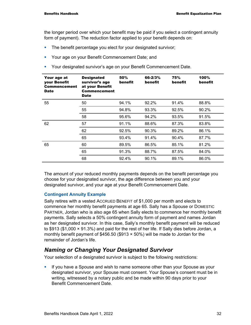the longer period over which your benefit may be paid if you select a contingent annuity form of payment). The reduction factor applied to your benefit depends on:

- The benefit percentage you elect for your designated survivor;
- **Your age on your Benefit Commencement Date; and**
- Your designated survivor's age on your Benefit Commencement Date.

| Your age at<br>your Benefit<br><b>Commencement</b><br><b>Date</b> | <b>Designated</b><br>survivor's age<br>at your Benefit<br>Commencement<br><b>Date</b> | 50%<br>benefit | 66-2/3%<br>benefit | 75%<br>benefit | 100%<br>benefit |
|-------------------------------------------------------------------|---------------------------------------------------------------------------------------|----------------|--------------------|----------------|-----------------|
| 55                                                                | 50                                                                                    | 94.1%          | 92.2%              | 91.4%          | 88.8%           |
|                                                                   | 55                                                                                    | 94.8%          | 93.3%              | 92.5%          | 90.2%           |
|                                                                   | 58                                                                                    | 95.6%          | 94.2%              | 93.5%          | 91.5%           |
| 62                                                                | 57                                                                                    | 91.1%          | 88.6%              | 87.3%          | 83.8%           |
|                                                                   | 62                                                                                    | 92.5%          | 90.3%              | 89.2%          | 86.1%           |
|                                                                   | 65                                                                                    | 93.4%          | 91.4%              | 90.4%          | 87.7%           |
| 65                                                                | 60                                                                                    | 89.5%          | 86.5%              | 85.1%          | 81.2%           |
|                                                                   | 65                                                                                    | 91.3%          | 88.7%              | 87.5%          | 84.0%           |
|                                                                   | 68                                                                                    | 92.4%          | 90.1%              | 89.1%          | 86.0%           |

The amount of your reduced monthly payments depends on the benefit percentage you choose for your designated survivor, the age difference between you and your designated survivor, and your age at your Benefit Commencement Date.

#### **Contingent Annuity Example**

Sally retires with a vested ACCRUED BENEFIT of \$1,000 per month and elects to commence her monthly benefit payments at age 65. Sally has a Spouse or DOMESTIC PARTNER, Jordan who is also age 65 when Sally elects to commence her monthly benefit payments. Sally selects a 50% contingent annuity form of payment and names Jordan as her designated survivor. In this case, Sally's monthly benefit payment will be reduced to \$913 (\$1,000 × 91.3%) and paid for the rest of her life. If Sally dies before Jordan, a monthly benefit payment of \$456.50 (\$913 × 50%) will be made to Jordan for the remainder of Jordan's life.

### *Naming or Changing Your Designated Survivor*

Your selection of a designated survivor is subject to the following restrictions:

If you have a Spouse and wish to name someone other than your Spouse as your designated survivor, your Spouse must consent. Your Spouse's consent must be in writing, witnessed by a notary public and be made within 90 days prior to your Benefit Commencement Date.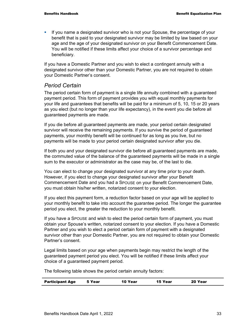If you name a designated survivor who is not your Spouse, the percentage of your benefit that is paid to your designated survivor may be limited by law based on your age and the age of your designated survivor on your Benefit Commencement Date. You will be notified if these limits affect your choice of a survivor percentage and beneficiary.

If you have a Domestic Partner and you wish to elect a contingent annuity with a designated survivor other than your Domestic Partner, you are not required to obtain your Domestic Partner's consent.

#### *Period Certain*

The period certain form of payment is a single life annuity combined with a guaranteed payment period. This form of payment provides you with equal monthly payments for your life and guarantees that benefits will be paid for a minimum of 5, 10, 15 or 20 years as you elect (but no longer than your life expectancy), in the event you die before all guaranteed payments are made.

If you die before all guaranteed payments are made, your period certain designated survivor will receive the remaining payments. If you survive the period of guaranteed payments, your monthly benefit will be continued for as long as you live, but no payments will be made to your period certain designated survivor after you die.

If both you and your designated survivor die before all guaranteed payments are made, the commuted value of the balance of the guaranteed payments will be made in a single sum to the executor or administrator as the case may be, of the last to die.

You can elect to change your designated survivor at any time prior to your death. However, if you elect to change your designated survivor after your Benefit Commencement Date and you had a SPOUSE on your Benefit Commencement Date, you must obtain his/her written, notarized consent to your election.

If you elect this payment form, a reduction factor based on your age will be applied to your monthly benefit to take into account the guarantee period. The longer the guarantee period you elect, the greater the reduction to your monthly benefit.

If you have a SPOUSE and wish to elect the period certain form of payment, you must obtain your Spouse's written, notarized consent to your election. If you have a Domestic Partner and you wish to elect a period certain form of payment with a designated survivor other than your Domestic Partner, you are not required to obtain your Domestic Partner's consent.

Legal limits based on your age when payments begin may restrict the length of the guaranteed payment period you elect. You will be notified if these limits affect your choice of a guaranteed payment period.

The following table shows the period certain annuity factors:

| <b>Participant Age</b> | 5 Year | 10 Year | 15 Year | 20 Year |
|------------------------|--------|---------|---------|---------|
|                        |        |         |         |         |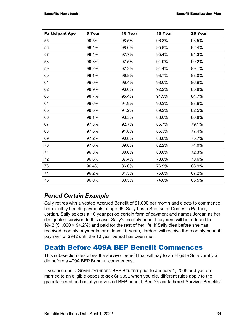| <b>Participant Age</b> | 5 Year | 10 Year | 15 Year | 20 Year |
|------------------------|--------|---------|---------|---------|
| 55                     | 99.5%  | 98.5%   | 96.3%   | 93.5%   |
| 56                     | 99.4%  | 98.0%   | 95.9%   | 92.4%   |
| 57                     | 99.4%  | 97.7%   | 95.4%   | 91.3%   |
| 58                     | 99.3%  | 97.5%   | 94.9%   | 90.2%   |
| 59                     | 99.2%  | 97.2%   | 94.4%   | 89.1%   |
| 60                     | 99.1%  | 96.8%   | 93.7%   | 88.0%   |
| 61                     | 99.0%  | 96.4%   | 93.0%   | 86.9%   |
| 62                     | 98.9%  | 96.0%   | 92.2%   | 85.8%   |
| 63                     | 98.7%  | 95.4%   | 91.3%   | 84.7%   |
| 64                     | 98.6%  | 94.9%   | 90.3%   | 83.6%   |
| 65                     | 98.5%  | 94.2%   | 89.2%   | 82.5%   |
| 66                     | 98.1%  | 93.5%   | 88.0%   | 80.8%   |
| 67                     | 97.8%  | 92.7%   | 86.7%   | 79.1%   |
| 68                     | 97.5%  | 91.8%   | 85.3%   | 77.4%   |
| 69                     | 97.2%  | 90.8%   | 83.8%   | 75.7%   |
| 70                     | 97.0%  | 89.8%   | 82.2%   | 74.0%   |
| 71                     | 96.8%  | 88.6%   | 80.6%   | 72.3%   |
| 72                     | 96.6%  | 87.4%   | 78.8%   | 70.6%   |
| 73                     | 96.4%  | 86.0%   | 76.9%   | 68.9%   |
| 74                     | 96.2%  | 84.5%   | 75.0%   | 67.2%   |
| 75                     | 96.0%  | 83.5%   | 74.0%   | 65.5%   |

### *Period Certain Example*

Sally retires with a vested Accrued Benefit of \$1,000 per month and elects to commence her monthly benefit payments at age 65. Sally has a Spouse or Domestic Partner, Jordan. Sally selects a 10 year period certain form of payment and names Jordan as her designated survivor. In this case, Sally's monthly benefit payment will be reduced to \$942 (\$1,000 × 94.2%) and paid for the rest of her life. If Sally dies before she has received monthly payments for at least 10 years, Jordan, will receive the monthly benefit payment of \$942 until the 10 year period has been met.

# Death Before 409A BEP Benefit Commences

This sub-section describes the survivor benefit that will pay to an Eligible Survivor if you die before a 409A BEP BENEFIT commences.

If you accrued a GRANDFATHERED BEP BENEFIT prior to January 1, 2005 and you are married to an eligible opposite-sex SPOUSE when you die, different rules apply to the grandfathered portion of your vested BEP benefit. See "Grandfathered Survivor Benefits"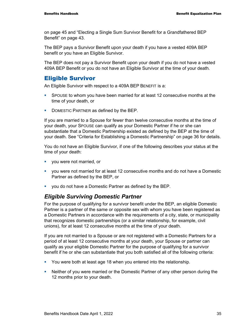on page 45 and "Electing a Single Sum Survivor Benefit for a Grandfathered BEP Benefit" on page 43.

The BEP pays a Survivor Benefit upon your death if you have a vested 409A BEP benefit or you have an Eligible Survivor.

The BEP does not pay a Survivor Benefit upon your death if you do not have a vested 409A BEP Benefit or you do not have an Eligible Survivor at the time of your death.

#### Eligible Survivor

An Eligible Survivor with respect to a 409A BEP BENEFIT is a:

- SPOUSE to whom you have been married for at least 12 consecutive months at the time of your death, or
- DOMESTIC PARTNER as defined by the BEP.

If you are married to a Spouse for fewer than twelve consecutive months at the time of your death, your SPOUSE can qualify as your Domestic Partner if he or she can substantiate that a Domestic Partnership existed as defined by the BEP at the time of your death. See "Criteria for Establishing a Domestic Partnership" on page 36 for details.

You do not have an Eligible Survivor, if one of the following describes your status at the time of your death:

- vou were not married, or
- you were not married for at least 12 consecutive months and do not have a Domestic Partner as defined by the BEP, or
- you do not have a Domestic Partner as defined by the BEP.

#### *Eligible Surviving Domestic Partner*

For the purpose of qualifying for a survivor benefit under the BEP, an eligible Domestic Partner is a partner of the same or opposite sex with whom you have been registered as a Domestic Partners in accordance with the requirements of a city, state, or municipality that recognizes domestic partnerships (or a similar relationship, for example, civil unions), for at least 12 consecutive months at the time of your death.

If you are not married to a Spouse or are not registered with a Domestic Partners for a period of at least 12 consecutive months at your death, your Spouse or partner can qualify as your eligible Domestic Partner for the purpose of qualifying for a survivor benefit if he or she can substantiate that you both satisfied all of the following criteria:

- You were both at least age 18 when you entered into the relationship.
- Neither of you were married or the Domestic Partner of any other person during the 12 months prior to your death.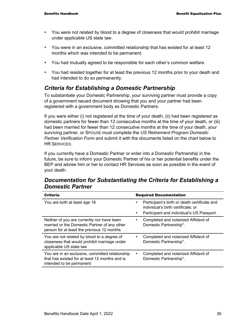- You were not related by blood to a degree of closeness that would prohibit marriage under applicable US state law.
- You were in an exclusive, committed relationship that has existed for at least 12 months which was intended to be permanent.
- You had mutually agreed to be responsible for each other's common welfare.
- You had resided together for at least the previous 12 months prior to your death and had intended to do so permanently.

### *Criteria for Establishing a Domestic Partnership*

To substantiate your Domestic Partnership, your surviving partner must provide a copy of a government issued document showing that you and your partner had been registered with a government body as Domestic Partners.

If you were either (i) not registered at the time of your death, (ii) had been registered as domestic partners for fewer than 12 consecutive months at the time of your death, or (iii) had been married for fewer than 12 consecutive months at the time of your death, your surviving partner, or SPOUSE must complete the *US Retirement Program Domestic Partner Verification Form* and submit it with the documents listed on the chart below to **HR SERVICES** 

If you currently have a Domestic Partner or enter into a Domestic Partnership in the future, be sure to inform your Domestic Partner of his or her potential benefits under the BEP and advise him or her to contact HR Services as soon as possible in the event of your death.

#### *Documentation for Substantiating the Criteria for Establishing a Domestic Partner*

| <b>Criteria</b>                                                                                                                          | <b>Required Documentation</b>                                                                                                                                       |
|------------------------------------------------------------------------------------------------------------------------------------------|---------------------------------------------------------------------------------------------------------------------------------------------------------------------|
| You are both at least age 18                                                                                                             | Participant's birth or death certificate and<br>п<br>individual's birth certificate; or<br>Participant and individual's US Passport.<br>$\mathcal{L}_{\mathcal{A}}$ |
| Neither of you are currently nor have been<br>married or the Domestic Partner of any other<br>person for at least the previous 12 months | Completed and notarized Affidavit of<br>Domestic Partnership*.                                                                                                      |
| You are not related by blood to a degree of<br>closeness that would prohibit marriage under<br>applicable US state law                   | Completed and notarized Affidavit of<br>Domestic Partnership*.                                                                                                      |
| You are in an exclusive, committed relationship<br>that has existed for at least 12 months and is<br>intended to be permanent            | Completed and notarized Affidavit of<br>$\mathcal{L}_{\mathcal{A}}$<br>Domestic Partnership*.                                                                       |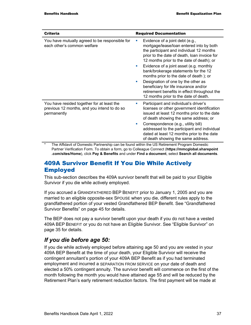| <b>Criteria</b>                                                                                          | <b>Required Documentation</b>                                                                                                                                                                                                                                                                                                                                                                                                                                                                                                  |  |  |
|----------------------------------------------------------------------------------------------------------|--------------------------------------------------------------------------------------------------------------------------------------------------------------------------------------------------------------------------------------------------------------------------------------------------------------------------------------------------------------------------------------------------------------------------------------------------------------------------------------------------------------------------------|--|--|
| You have mutually agreed to be responsible for<br>each other's common welfare                            | Evidence of a joint debt (e.g.,<br>mortgage/lease/loan entered into by both<br>the participant and individual 12 months<br>prior to the date of death, loan invoice for<br>12 months prior to the date of death); or<br>Evidence of a joint asset (e.g. monthly<br>ш<br>bank/brokerage statements for the 12<br>months prior to the date of death); or<br>Designation of one by the other as<br>beneficiary for life insurance and/or<br>retirement benefits in effect throughout the<br>12 months prior to the date of death. |  |  |
| You have resided together for at least the<br>previous 12 months, and you intend to do so<br>permanently | Participant and individual's driver's<br>licenses or other government identification<br>issued at least 12 months prior to the date<br>of death showing the same address; or<br>Correspondence (e.g., utility bill)<br>addressed to the participant and individual<br>dated at least 12 months prior to the date<br>of death showing the same address.                                                                                                                                                                         |  |  |

The Affidavit of Domestic Partnership can be found within the US Retirement Program Domestic Partner Verification Form. To obtain a form, go to Colleague Connect (**https://mmcglobal.sharepoint .com/sites/Home**), click **Pay & Benefits** and under **Find a document**, select **Search all documents**.

### 409A Survivor Benefit If You Die While Actively Employed

This sub-section describes the 409A survivor benefit that will be paid to your Eligible Survivor if you die while actively employed.

If you accrued a GRANDFATHERED BEP BENEFIT prior to January 1, 2005 and you are married to an eligible opposite-sex SPOUSE when you die, different rules apply to the grandfathered portion of your vested Grandfathered BEP Benefit. See "Grandfathered Survivor Benefits" on page 45 for details.

The BEP does not pay a survivor benefit upon your death if you do not have a vested 409A BEP BENEFIT or you do not have an Eligible Survivor. See "Eligible Survivor" on page 35 for details.

### *If you die before age 50:*

If you die while actively employed before attaining age 50 and you are vested in your 409A BEP Benefit at the time of your death, your Eligible Survivor will receive the contingent annuitant's portion of your 409A BEP Benefit as if you had terminated employment and incurred a SEPARATION FROM SERVICE on your date of death and elected a 50% contingent annuity. The survivor benefit will commence on the first of the month following the month you would have attained age 55 and will be reduced by the Retirement Plan's early retirement reduction factors. The first payment will be made at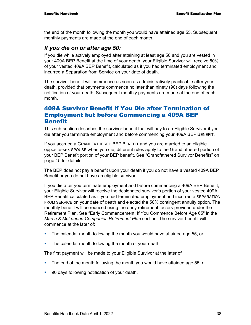the end of the month following the month you would have attained age 55. Subsequent monthly payments are made at the end of each month.

#### *If you die on or after age 50:*

If you die while actively employed after attaining at least age 50 and you are vested in your 409A BEP Benefit at the time of your death, your Eligible Survivor will receive 50% of your vested 409A BEP Benefit, calculated as if you had terminated employment and incurred a Separation from Service on your date of death.

The survivor benefit will commence as soon as administratively practicable after your death, provided that payments commence no later than ninety (90) days following the notification of your death. Subsequent monthly payments are made at the end of each month.

#### 409A Survivor Benefit if You Die after Termination of Employment but before Commencing a 409A BEP **Benefit**

This sub-section describes the survivor benefit that will pay to an Eligible Survivor if you die after you terminate employment and before commencing your 409A BEP BENEFIT.

If you accrued a GRANDFATHERED BEP BENEFIT and you are married to an eligible opposite-sex SPOUSE when you die, different rules apply to the Grandfathered portion of your BEP Benefit portion of your BEP benefit. See "Grandfathered Survivor Benefits" on page 45 for details.

The BEP does not pay a benefit upon your death if you do not have a vested 409A BEP Benefit or you do not have an eligible survivor.

If you die after you terminate employment and before commencing a 409A BEP Benefit, your Eligible Survivor will receive the designated survivor's portion of your vested 409A BEP Benefit calculated as if you had terminated employment and incurred a SEPARATION FROM SERVICE on your date of death and elected the 50% contingent annuity option. The monthly benefit will be reduced using the early retirement factors provided under the Retirement Plan. See "Early Commencement: If You Commence Before Age 65" in the *Marsh & McLennan Companies Retirement Plan* section. The survivor benefit will commence at the later of:

- The calendar month following the month you would have attained age 55, or
- **The calendar month following the month of your death.**

The first payment will be made to your Eligible Survivor at the later of

- The end of the month following the month you would have attained age 55, or
- **90 days following notification of your death.**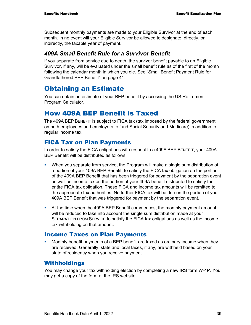Subsequent monthly payments are made to your Eligible Survivor at the end of each month. In no event will your Eligible Survivor be allowed to designate, directly, or indirectly, the taxable year of payment.

#### *409A Small Benefit Rule for a Survivor Benefit*

If you separate from service due to death, the survivor benefit payable to an Eligible Survivor, if any, will be evaluated under the small benefit rule as of the first of the month following the calendar month in which you die. See "Small Benefit Payment Rule for Grandfathered BEP Benefit" on page 41.

# Obtaining an Estimate

You can obtain an estimate of your BEP benefit by accessing the US Retirement Program Calculator.

# How 409A BEP Benefit is Taxed

The 409A BEP BENEFIT is subject to FICA tax (tax imposed by the federal government on both employees and employers to fund Social Security and Medicare) in addition to regular income tax.

#### FICA Tax on Plan Payments

In order to satisfy the FICA obligations with respect to a 409A BEP BENEFIT, your 409A BEP Benefit will be distributed as follows:

- When you separate from service, the Program will make a single sum distribution of a portion of your 409A BEP Benefit, to satisfy the FICA tax obligation on the portion of the 409A BEP Benefit that has been triggered for payment by the separation event as well as income tax on the portion of your 409A benefit distributed to satisfy the entire FICA tax obligation. These FICA and income tax amounts will be remitted to the appropriate tax authorities. No further FICA tax will be due on the portion of your 409A BEP Benefit that was triggered for payment by the separation event.
- At the time when the 409A BEP Benefit commences, the monthly payment amount will be reduced to take into account the single sum distribution made at your SEPARATION FROM SERVICE to satisfy the FICA tax obligations as well as the income tax withholding on that amount.

#### Income Taxes on Plan Payments

 Monthly benefit payments of a BEP benefit are taxed as ordinary income when they are received. Generally, state and local taxes, if any, are withheld based on your state of residency when you receive payment.

#### Withholdings

You may change your tax withholding election by completing a new IRS form W-4P. You may get a copy of the form at the IRS website.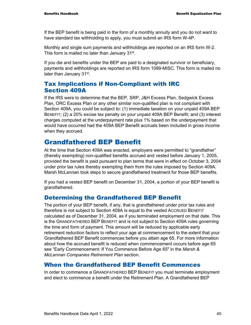If the BEP benefit is being paid in the form of a monthly annuity and you do not want to have standard tax withholding to apply, you must submit an IRS form W-4P.

Monthly and single sum payments and withholdings are reported on an IRS form W-2. This form is mailed no later than January 31<sup>st</sup>.

If you die and benefits under the BEP are paid to a designated survivor or beneficiary, payments and withholdings are reported on IRS form 1099-MISC. This form is mailed no later than January 31<sup>st</sup>.

#### Tax Implications if Non-Compliant with IRC Section 409A

If the IRS were to determine that the BEP, SRP, J&H Excess Plan, Sedgwick Excess Plan, ORC Excess Plan or any other similar non-qualified plan is not compliant with Section 409A, you could be subject to: (1) immediate taxation on your unpaid 409A BEP BENEFIT; (2) a 20% excise tax penalty on your unpaid 409A BEP Benefit; and (3) interest charges computed at the underpayment rate plus 1% based on the underpayment that would have occurred had the 409A BEP Benefit accruals been included in gross income when they accrued.

# Grandfathered BEP Benefit

At the time that Section 409A was enacted, employers were permitted to "grandfather" (thereby exempting) non-qualified benefits accrued and vested before January 1, 2005, provided the benefit is paid pursuant to plan terms that were in effect on October 3, 2004 under prior tax rules thereby exempting them from the rules imposed by Section 409A. Marsh McLennan took steps to secure grandfathered treatment for those BEP benefits.

If you had a vested BEP benefit on December 31, 2004, a portion of your BEP benefit is grandfathered.

### Determining the Grandfathered BEP Benefit

The portion of your BEP benefit, if any, that is grandfathered under prior tax rules and therefore is not subject to Section 409A is equal to the vested ACCRUED BENEFIT calculated as of December 31, 2004, as if you terminated employment on that date. This is the GRANDFATHERED BEP BENEFIT and is not subject to Section 409A rules governing the time and form of payment. This amount will be reduced by applicable early retirement reduction factors to reflect your age at commencement to the extent that your Grandfathered BEP Benefit commences before you attain age 65. For more information about how the accrued benefit is reduced when commencement occurs before age 65 see "Early Commencement: If You Commence Before Age 65" in the *Marsh & McLennan Companies Retirement Plan* section.

#### When the Grandfathered BEP Benefit Commences

In order to commence a GRANDFATHERED BEP BENEFIT you must terminate employment and elect to commence a benefit under the Retirement Plan. A Grandfathered BEP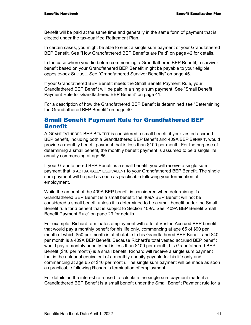Benefit will be paid at the same time and generally in the same form of payment that is elected under the tax-qualified Retirement Plan.

In certain cases, you might be able to elect a single sum payment of your Grandfathered BEP Benefit. See "How Grandfathered BEP Benefits are Paid" on page 42 for details.

In the case where you die before commencing a Grandfathered BEP Benefit, a survivor benefit based on your Grandfathered BEP Benefit might be payable to your eligible opposite-sex SPOUSE. See "Grandfathered Survivor Benefits" on page 45.

If your Grandfathered BEP Benefit meets the Small Benefit Payment Rule, your Grandfathered BEP Benefit will be paid in a single sum payment. See "Small Benefit Payment Rule for Grandfathered BEP Benefit" on page 41.

For a description of how the Grandfathered BEP Benefit is determined see "Determining the Grandfathered BEP Benefit" on page 40.

#### Small Benefit Payment Rule for Grandfathered BEP Benefit

A GRANDFATHERED BEP BENEFIT is considered a small benefit if your vested accrued BEP benefit, including both a Grandfathered BEP Benefit and 409A BEP BENEFIT, would provide a monthly benefit payment that is less than \$100 per month. For the purpose of determining a small benefit, the monthly benefit payment is assumed to be a single life annuity commencing at age 65.

If your Grandfathered BEP Benefit is a small benefit, you will receive a single sum payment that is ACTUARIALLY EQUIVALENT to your Grandfathered BEP Benefit. The single sum payment will be paid as soon as practicable following your termination of employment.

While the amount of the 409A BEP benefit is considered when determining if a Grandfathered BEP Benefit is a small benefit, the 409A BEP Benefit will not be considered a small benefit unless it is determined to be a small benefit under the Small Benefit rule for a benefit that is subject to Section 409A. See "409A BEP Benefit Small Benefit Payment Rule" on page 29 for details.

For example, Richard terminates employment with a total Vested Accrued BEP benefit that would pay a monthly benefit for his life only, commencing at age 65 of \$90 per month of which \$50 per month is attributable to his Grandfathered BEP Benefit and \$40 per month is a 409A BEP Benefit. Because Richard's total vested accrued BEP benefit would pay a monthly annuity that is less than \$100 per month, his Grandfathered BEP Benefit (\$40 per month) is a small benefit. Richard will receive a single sum payment that is the actuarial equivalent of a monthly annuity payable for his life only and commencing at age 65 of \$40 per month. The single sum payment will be made as soon as practicable following Richard's termination of employment.

For details on the interest rate used to calculate the single sum payment made if a Grandfathered BEP Benefit is a small benefit under the Small Benefit Payment rule for a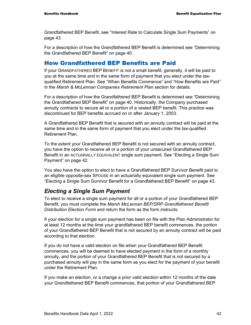Grandfathered BEP Benefit, see "Interest Rate to Calculate Single Sum Payments" on page 43.

For a description of how the Grandfathered BEP Benefit is determined see "Determining the Grandfathered BEP Benefit" on page 40.

#### How Grandfathered BEP Benefits are Paid

If your GRANDFATHERED BEP BENEFIT is not a small benefit, generally, it will be paid to you at the same time and in the same form of payment that you elect under the taxqualified Retirement Plan. See "When Benefits Commence" and "How Benefits are Paid" in the *Marsh & McLennan Companies Retirement Plan* section for details.

For a description of how the Grandfathered BEP Benefit is determined see "Determining the Grandfathered BEP Benefit" on page 40. Historically, the Company purchased annuity contracts to secure all or a portion of a vested BEP benefit. This practice was discontinued for BEP benefits accrued on or after January 1, 2003.

A Grandfathered BEP Benefit that is secured with an annuity contract will be paid at the same time and in the same form of payment that you elect under the tax-qualified Retirement Plan.

To the extent your Grandfathered BEP Benefit is not secured with an annuity contract, you have the option to receive all or a portion of your unsecured Grandfathered BEP Benefit in an ACTUARIALLY EQUIVALENT single sum payment. See "Electing a Single Sum Payment" on page 42.

You also have the option to elect to have a Grandfathered BEP Survivor Benefit paid to an eligible opposite-sex SPOUSE in an actuarially equivalent single sum payment. See "Electing a Single Sum Survivor Benefit for a Grandfathered BEP Benefit" on page 43.

#### *Electing a Single Sum Payment*

To elect to receive a single sum payment for all or a portion of your Grandfathered BEP Benefit, you must complete the *Marsh McLennan BEP/SRP Grandfathered Benefit Distribution Election Form* and return the form as the form instructs.

If your election for a single sum payment has been on file with the Plan Administrator for at least 12 months at the time your grandfathered BEP benefit commences, the portion of your Grandfathered BEP Benefit that is not secured by an annuity contract will be paid according to that election.

If you do not have a valid election on file when your Grandfathered BEP Benefit commences, you will be deemed to have elected payment in the form of a monthly annuity, and the portion of your Grandfathered BEP Benefit that is not secured by a purchased annuity will pay in the same form as you elect for the payment of your benefit under the Retirement Plan.

If you make an election, or a change a prior valid election within 12 months of the date your Grandfathered BEP Benefit commences, that portion of your Grandfathered BEP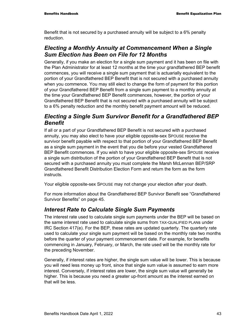Benefit that is not secured by a purchased annuity will be subject to a 6% penalty reduction.

### *Electing a Monthly Annuity at Commencement When a Single Sum Election has Been on File for 12 Months*

Generally, if you make an election for a single sum payment and it has been on file with the Plan Administrator for at least 12 months at the time your grandfathered BEP benefit commences, you will receive a single sum payment that is actuarially equivalent to the portion of your Grandfathered BEP Benefit that is not secured with a purchased annuity when you commence. You may still elect to change the form of payment for this portion of your Grandfathered BEP Benefit from a single sum payment to a monthly annuity at the time your Grandfathered BEP Benefit commences, however, the portion of your Grandfathered BEP Benefit that is not secured with a purchased annuity will be subject to a 6% penalty reduction and the monthly benefit payment amount will be reduced.

### *Electing a Single Sum Survivor Benefit for a Grandfathered BEP Benefit*

If all or a part of your Grandfathered BEP Benefit is not secured with a purchased annuity, you may also elect to have your eligible opposite-sex SPOUSE receive the survivor benefit payable with respect to that portion of your Grandfathered BEP Benefit as a single sum payment in the event that you die before your vested Grandfathered BEP Benefit commences. If you wish to have your eligible opposite-sex SPOUSE receive a single sum distribution of the portion of your Grandfathered BEP Benefit that is not secured with a purchased annuity you must complete the Marsh McLennan BEP/SRP Grandfathered Benefit Distribution Election Form and return the form as the form instructs.

Your eligible opposite-sex SPOUSE may not change your election after your death.

For more information about the Grandfathered BEP Survivor Benefit see "Grandfathered Survivor Benefits" on page 45.

### *Interest Rate to Calculate Single Sum Payments*

The interest rate used to calculate single sum payments under the BEP will be based on the same interest rate used to calculate single sums from TAX-QUALIFIED PLANs under IRC Section 417(e). For the BEP, these rates are updated quarterly. The quarterly rate used to calculate your single sum payment will be based on the monthly rate two months before the quarter of your payment commencement date. For example, for benefits commencing in January, February, or March, the rate used will be the monthly rate for the preceding November.

Generally, if interest rates are higher, the single sum value will be lower. This is because you will need less money up front, since that single sum value is assumed to earn more interest. Conversely, if interest rates are lower, the single sum value will generally be higher. This is because you need a greater up-front amount as the interest earned on that will be less.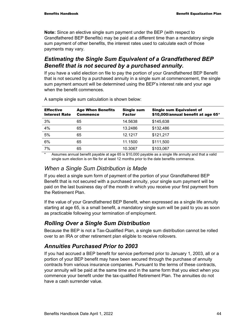**Note:** Since an elective single sum payment under the BEP (with respect to Grandfathered BEP Benefits) may be paid at a different time than a mandatory single sum payment of other benefits, the interest rates used to calculate each of those payments may vary.

### *Estimating the Single Sum Equivalent of a Grandfathered BEP Benefit that is not secured by a purchased annuity.*

If you have a valid election on file to pay the portion of your Grandfathered BEP Benefit that is not secured by a purchased annuity in a single sum at commencement, the single sum payment amount will be determined using the BEP's interest rate and your age when the benefit commences.

| <b>Effective</b><br><b>Interest Rate</b> | <b>Age When Benefits</b><br><b>Commence</b> | <b>Single sum</b><br>Factor | <b>Single sum Equivalent of</b><br>\$10,000/annual benefit at age 65* |
|------------------------------------------|---------------------------------------------|-----------------------------|-----------------------------------------------------------------------|
| 3%                                       | 65                                          | 14.5638                     | \$145,638                                                             |
| 4%                                       | 65                                          | 13.2486                     | \$132,486                                                             |
| 5%                                       | 65                                          | 12.1217                     | \$121,217                                                             |
| 6%                                       | 65                                          | 11.1500                     | \$111,500                                                             |
| 7%                                       | 65                                          | 10.3067                     | \$103,067                                                             |
|                                          |                                             |                             |                                                                       |

A sample single sum calculation is shown below:

Assumes annual benefit payable at age 65 is \$10,000 payable as a single life annuity and that a valid single sum election is on file for at least 12 months prior to the date benefits commence.

#### *When a Single Sum Distribution is Made*

If you elect a single sum form of payment of the portion of your Grandfathered BEP Benefit that is not secured with a purchased annuity, your single sum payment will be paid on the last business day of the month in which you receive your first payment from the Retirement Plan.

If the value of your Grandfathered BEP Benefit, when expressed as a single life annuity starting at age 65, is a small benefit, a mandatory single sum will be paid to you as soon as practicable following your termination of employment.

### *Rolling Over a Single Sum Distribution*

Because the BEP is not a Tax-Qualified Plan, a single sum distribution cannot be rolled over to an IRA or other retirement plan eligible to receive rollovers.

### *Annuities Purchased Prior to 2003*

If you had accrued a BEP benefit for service performed prior to January 1, 2003, all or a portion of your BEP benefit may have been secured through the purchase of annuity contracts from various insurance companies. Pursuant to the terms of these contracts, your annuity will be paid at the same time and in the same form that you elect when you commence your benefit under the tax-qualified Retirement Plan. The annuities do not have a cash surrender value.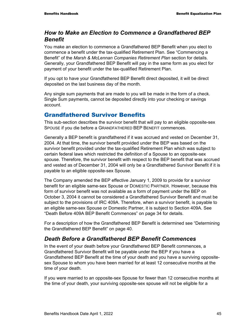#### *How to Make an Election to Commence a Grandfathered BEP Benefit*

You make an election to commence a Grandfathered BEP Benefit when you elect to commence a benefit under the tax-qualified Retirement Plan. See "Commencing a Benefit" of the *Marsh & McLennan Companies Retirement Plan* section for details. Generally, your Grandfathered BEP Benefit will pay in the same form as you elect for payment of your benefit under the tax-qualified Retirement Plan.

If you opt to have your Grandfathered BEP Benefit direct deposited, it will be direct deposited on the last business day of the month.

Any single sum payments that are made to you will be made in the form of a check. Single Sum payments, cannot be deposited directly into your checking or savings account.

#### Grandfathered Survivor Benefits

This sub-section describes the survivor benefit that will pay to an eligible opposite-sex SPOUSE if you die before a GRANDFATHERED BEP BENEFIT commences.

Generally a BEP benefit is grandfathered if it was accrued and vested on December 31, 2004. At that time, the survivor benefit provided under the BEP was based on the survivor benefit provided under the tax-qualified Retirement Plan which was subject to certain federal laws which restricted the definition of a Spouse to an opposite-sex spouse. Therefore, the survivor benefit with respect to the BEP benefit that was accrued and vested as of December 31, 2004 will only be a Grandfathered Survivor Benefit if it is payable to an eligible opposite-sex Spouse.

The Company amended the BEP effective January 1, 2009 to provide for a survivor benefit for an eligible same-sex Spouse or DOMESTIC PARTNER. However, because this form of survivor benefit was not available as a form of payment under the BEP on October 3, 2004 it cannot be considered a Grandfathered Survivor Benefit and must be subject to the provisions of IRC 409A. Therefore, when a survivor benefit, is payable to an eligible same-sex Spouse or Domestic Partner, it is subject to Section 409A. See "Death Before 409A BEP Benefit Commences" on page 34 for details.

For a description of how the Grandfathered BEP Benefit is determined see "Determining the Grandfathered BEP Benefit" on page 40.

### *Death Before a Grandfathered BEP Benefit Commences*

In the event of your death before your Grandfathered BEP Benefit commences, a Grandfathered Survivor Benefit will be payable under the BEP if you have a Grandfathered BEP Benefit at the time of your death and you have a surviving oppositesex Spouse to whom you have been married for at least 12 consecutive months at the time of your death.

If you were married to an opposite-sex Spouse for fewer than 12 consecutive months at the time of your death, your surviving opposite-sex spouse will not be eligible for a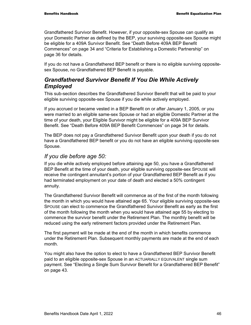Grandfathered Survivor Benefit. However, if your opposite-sex Spouse can qualify as your Domestic Partner as defined by the BEP, your surviving opposite-sex Spouse might be eligible for a 409A Survivor Benefit. See "Death Before 409A BEP Benefit Commences" on page 34 and "Criteria for Establishing a Domestic Partnership" on page 36 for details.

If you do not have a Grandfathered BEP benefit or there is no eligible surviving oppositesex Spouse, no Grandfathered BEP Benefit is payable.

#### *Grandfathered Survivor Benefit If You Die While Actively Employed*

This sub-section describes the Grandfathered Survivor Benefit that will be paid to your eligible surviving opposite-sex Spouse if you die while actively employed.

If you accrued or became vested in a BEP Benefit on or after January 1, 2005, or you were married to an eligible same-sex Spouse or had an eligible Domestic Partner at the time of your death, your Eligible Survivor might be eligible for a 409A BEP Survivor Benefit. See "Death Before 409A BEP Benefit Commences" on page 34 for details.

The BEP does not pay a Grandfathered Survivor Benefit upon your death if you do not have a Grandfathered BEP benefit or you do not have an eligible surviving opposite-sex Spouse.

#### *If you die before age 50:*

If you die while actively employed before attaining age 50, you have a Grandfathered BEP Benefit at the time of your death, your eligible surviving opposite-sex SPOUSE will receive the contingent annuitant's portion of your Grandfathered BEP Benefit as if you had terminated employment on your date of death and elected a 50% contingent annuity.

The Grandfathered Survivor Benefit will commence as of the first of the month following the month in which you would have attained age 65. Your eligible surviving opposite-sex SPOUSE can elect to commence the Grandfathered Survivor Benefit as early as the first of the month following the month when you would have attained age 55 by electing to commence the survivor benefit under the Retirement Plan. The monthly benefit will be reduced using the early retirement factors provided under the Retirement Plan.

The first payment will be made at the end of the month in which benefits commence under the Retirement Plan. Subsequent monthly payments are made at the end of each month.

You might also have the option to elect to have a Grandfathered BEP Survivor Benefit paid to an eligible opposite-sex Spouse in an ACTUARIALLY EQUIVALENT single sum payment. See "Electing a Single Sum Survivor Benefit for a Grandfathered BEP Benefit" on page 43.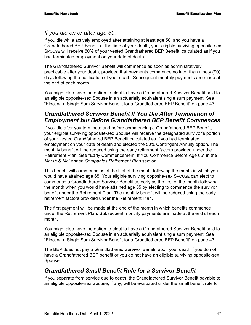#### *If you die on or after age 50:*

If you die while actively employed after attaining at least age 50, and you have a Grandfathered BEP Benefit at the time of your death, your eligible surviving opposite-sex SPOUSE will receive 50% of your vested Grandfathered BEP Benefit, calculated as if you had terminated employment on your date of death.

The Grandfathered Survivor Benefit will commence as soon as administratively practicable after your death, provided that payments commence no later than ninety (90) days following the notification of your death. Subsequent monthly payments are made at the end of each month.

You might also have the option to elect to have a Grandfathered Survivor Benefit paid to an eligible opposite-sex Spouse in an actuarially equivalent single sum payment. See "Electing a Single Sum Survivor Benefit for a Grandfathered BEP Benefit" on page 43.

### *Grandfathered Survivor Benefit If You Die After Termination of Employment but Before Grandfathered BEP Benefit Commences*

If you die after you terminate and before commencing a Grandfathered BEP Benefit, your eligible surviving opposite-sex Spouse will receive the designated survivor's portion of your vested Grandfathered BEP Benefit calculated as if you had terminated employment on your date of death and elected the 50% Contingent Annuity option. The monthly benefit will be reduced using the early retirement factors provided under the Retirement Plan. See "Early Commencement: If You Commence Before Age 65" in the *Marsh & McLennan Companies Retirement Plan* section.

This benefit will commence as of the first of the month following the month in which you would have attained age 65. Your eligible surviving opposite-sex SPOUSE can elect to commence a Grandfathered Survivor Benefit as early as the first of the month following the month when you would have attained age 55 by electing to commence the survivor benefit under the Retirement Plan. The monthly benefit will be reduced using the early retirement factors provided under the Retirement Plan.

The first payment will be made at the end of the month in which benefits commence under the Retirement Plan. Subsequent monthly payments are made at the end of each month.

You might also have the option to elect to have a Grandfathered Survivor Benefit paid to an eligible opposite-sex Spouse in an actuarially equivalent single sum payment. See "Electing a Single Sum Survivor Benefit for a Grandfathered BEP Benefit" on page 43.

The BEP does not pay a Grandfathered Survivor Benefit upon your death if you do not have a Grandfathered BEP benefit or you do not have an eligible surviving opposite-sex Spouse.

#### *Grandfathered Small Benefit Rule for a Survivor Benefit*

If you separate from service due to death, the Grandfathered Survivor Benefit payable to an eligible opposite-sex Spouse, if any, will be evaluated under the small benefit rule for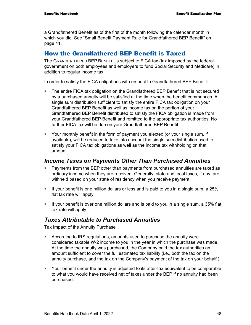a Grandfathered Benefit as of the first of the month following the calendar month in which you die. See "Small Benefit Payment Rule for Grandfathered BEP Benefit" on page 41.

#### How the Grandfathered BEP Benefit is Taxed

The GRANDFATHERED BEP BENEFIT is subject to FICA tax (tax imposed by the federal government on both employees and employers to fund Social Security and Medicare) in addition to regular income tax.

In order to satisfy the FICA obligations with respect to Grandfathered BEP Benefit:

- The entire FICA tax obligation on the Grandfathered BEP Benefit that is not secured by a purchased annuity will be satisfied at the time when the benefit commences. A single sum distribution sufficient to satisfy the entire FICA tax obligation on your Grandfathered BEP Benefit as well as income tax on the portion of your Grandfathered BEP Benefit distributed to satisfy the FICA obligation is made from your Grandfathered BEP Benefit and remitted to the appropriate tax authorities. No further FICA tax will be due on your Grandfathered BEP Benefit.
- Your monthly benefit in the form of payment you elected (or your single sum, if available), will be reduced to take into account the single sum distribution used to satisfy your FICA tax obligations as well as the income tax withholding on that amount.

#### *Income Taxes on Payments Other Than Purchased Annuities*

- Payments from the BEP other than payments from purchased annuities are taxed as ordinary income when they are received. Generally, state and local taxes, if any, are withheld based on your state of residency when you receive payment.
- If your benefit is one million dollars or less and is paid to you in a single sum, a 25% flat tax rate will apply.
- If your benefit is over one million dollars and is paid to you in a single sum, a 35% flat tax rate will apply.

#### *Taxes Attributable to Purchased Annuities*

Tax Impact of the Annuity Purchase

- According to IRS regulations, amounts used to purchase the annuity were considered taxable W-2 income to you in the year in which the purchase was made. At the time the annuity was purchased, the Company paid the tax authorities an amount sufficient to cover the full estimated tax liability (i.e., both the tax on the annuity purchase, and the tax on the Company's payment of the tax on your behalf.)
- Your benefit under the annuity is adjusted to its after-tax equivalent to be comparable to what you would have received net of taxes under the BEP if no annuity had been purchased.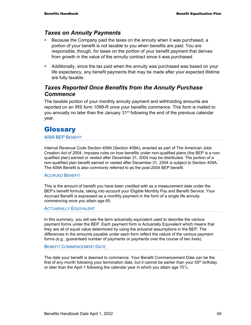#### *Taxes on Annuity Payments*

- Because the Company paid the taxes on the annuity when it was purchased, a portion of your benefit is not taxable to you when benefits are paid. You are responsible, though, for taxes on the portion of your benefit payment that derives from growth in the value of the annuity contract since it was purchased.
- Additionally, since the tax paid when the annuity was purchased was based on your life expectancy, any benefit payments that may be made after your expected lifetime are fully taxable.

#### *Taxes Reported Once Benefits from the Annuity Purchase Commence*

The taxable portion of your monthly annuity payment and withholding amounts are reported on an IRS form 1099-R once your benefits commence. This form is mailed to you annually no later than the January 31<sup>st</sup> following the end of the previous calendar year.

# **Glossary**

#### 409A BEP BENEFIT

Internal Revenue Code Section 409A (Section 409A), enacted as part of The American Jobs Creation Act of 2004, imposes rules on how benefits under non-qualified plans (the BEP is a nonqualified plan) earned or vested after December 31, 2004 may be distributed. The portion of a non-qualified plan benefit earned or vested after December 31, 2004 *is* subject to Section 409A. The 409A Benefit is also commonly referred to as the post-2004 BEP benefit.

#### ACCRUED BENEFIT

This is the amount of benefit you have been credited with as a measurement date under the BEP's benefit formula, taking into account your Eligible Monthly Pay and Benefit Service. Your Accrued Benefit is expressed as a monthly payment in the form of a single life annuity commencing once you attain age 65.

#### ACTUARIALLY EQUIVALENT

In this summary, you will see the term actuarially equivalent used to describe the various payment forms under the BEP. Each payment form is Actuarially Equivalent which means that they are all of equal value determined by using the actuarial assumptions in the BEP. The differences in the amounts payable under each form reflect the nature of the various payment forms (e.g., guaranteed number of payments or payments over the course of two lives).

#### BENEFIT COMMENCEMENT DATE

The date your benefit is deemed to commence. Your Benefit Commencement Date can be the first of any month following your termination date, but it cannot be earlier than your  $55<sup>th</sup>$  birthday or later than the April 1 following the calendar year in which you attain age  $70\frac{1}{2}$ .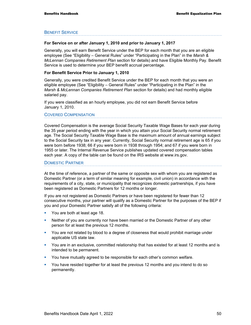#### BENEFIT SERVICE

#### **For Service on or after January 1, 2010 and prior to January 1, 2017**

Generally, you will earn Benefit Service under the BEP for each month that you are an eligible employee (See "Eligibility – General Rules" under "Participating in the Plan" in the *Marsh & McLennan Companies Retirement Plan* section for details) and have Eligible Monthly Pay. Benefit Service is used to determine your BEP benefit accrual percentage.

#### **For Benefit Service Prior to January 1, 2010**

Generally, you were credited Benefit Service under the BEP for each month that you were an eligible employee (See "Eligibility – General Rules" under "Participating in the Plan" in the *Marsh & McLennan Companies Retirement Plan* section for details) and had monthly eligible salaried pay.

If you were classified as an hourly employee, you did not earn Benefit Service before January 1, 2010.

#### COVERED COMPENSATION

Covered Compensation is the average Social Security Taxable Wage Bases for each year during the 35 year period ending with the year in which you attain your Social Security normal retirement age. The Social Security Taxable Wage Base is the maximum amount of annual earnings subject to the Social Security tax in any year. Currently, Social Security normal retirement age is 65 if you were born before 1938; 66 if you were born in 1938 through 1954; and 67 if you were born in 1955 or later. The Internal Revenue Service publishes updated covered compensation tables each year. A copy of the table can be found on the IRS website at www.irs.gov.

#### DOMESTIC PARTNER

At the time of reference, a partner of the same or opposite sex with whom you are registered as Domestic Partner (or a term of similar meaning for example, civil union) in accordance with the requirements of a city, state, or municipality that recognizes domestic partnerships, if you have been registered as Domestic Partners for 12 months or longer.

If you are not registered as Domestic Partners or have been registered for fewer than 12 consecutive months, your partner will qualify as a Domestic Partner for the purposes of the BEP if you and your Domestic Partner satisfy all of the following criteria:

- **You are both at least age 18.**
- **•** Neither of you are currently nor have been married or the Domestic Partner of any other person for at least the previous 12 months.
- You are not related by blood to a degree of closeness that would prohibit marriage under applicable US state law.
- You are in an exclusive, committed relationship that has existed for at least 12 months and is intended to be permanent.
- **You have mutually agreed to be responsible for each other's common welfare.**
- You have resided together for at least the previous 12 months and you intend to do so permanently.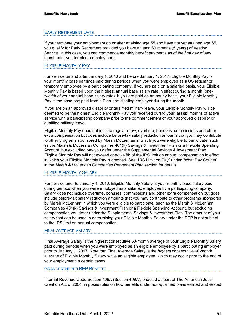#### EARLY RETIREMENT DATE

If you terminate your employment on or after attaining age 55 and have not yet attained age 65, you qualify for Early Retirement provided you have at least 60 months (5 years) of Vesting Service. In this case, you can commence monthly benefit payments as of the first day of any month after you terminate employment.

#### ELIGIBLE MONTHLY PAY

For service on and after January 1, 2010 and before January 1, 2017, Eligible Monthly Pay is your monthly base earnings paid during periods when you were employed as a US regular or temporary employee by a participating company. If you are paid on a salaried basis, your Eligible Monthly Pay is based upon the highest annual base salary rate in effect during a month (onetwelfth of your annual base salary rate). If you are paid on an hourly basis, your Eligible Monthly Pay is the base pay paid from a Plan-participating employer during the month.

If you are on an approved disability or qualified military leave, your Eligible Monthly Pay will be deemed to be the highest Eligible Monthly Pay you received during your last six months of active service with a participating company prior to the commencement of your approved disability or qualified military leave.

Eligible Monthly Pay does not include regular draw, overtime, bonuses, commissions and other extra compensation but does include before-tax salary reduction amounts that you may contribute to other programs sponsored by Marsh McLennan in which you were eligible to participate, such as the Marsh & McLennan Companies 401(k) Savings & Investment Plan or a Flexible Spending Account, but excluding pay you defer under the Supplemental Savings & Investment Plan. Eligible Monthly Pay will not exceed one-twelfth of the IRS limit on annual compensation in effect in which your Eligible Monthly Pay is credited. See "IRS Limit on Pay" under "What Pay Counts" in the *Marsh & McLennan Companies Retirement Plan* section for details.

#### ELIGIBLE MONTHLY SALARY

For service prior to January 1, 2010, Eligible Monthly Salary is your monthly base salary paid during periods when you were employed as a salaried employee by a participating company. Salary does not include overtime, bonuses, commissions and other extra compensation but does include before-tax salary reduction amounts that you may contribute to other programs sponsored by Marsh McLennan in which you were eligible to participate, such as the Marsh & McLennan Companies 401(k) Savings & Investment Plan or a Flexible Spending Account, but excluding compensation you defer under the Supplemental Savings & Investment Plan. The amount of your salary that can be used in determining your Eligible Monthly Salary under the BEP is not subject to the IRS limit on annual compensation.

#### FINAL AVERAGE SALARY

Final Average Salary is the highest consecutive 60-month average of your Eligible Monthly Salary paid during periods when you were employed as an eligible employee by a participating employer prior to January 1, 2017. Note that Final Average Salary is the *highest* consecutive 60-month average of Eligible Monthly Salary while an eligible employee, which may occur prior to the end of your employment in certain cases.

#### GRANDFATHERED BEP BENEFIT

Internal Revenue Code Section 409A (Section 409A), enacted as part of The American Jobs Creation Act of 2004, imposes rules on how benefits under non-qualified plans earned and vested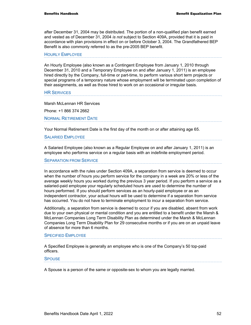after December 31, 2004 may be distributed. The portion of a non-qualified plan benefit earned and vested as of December 31, 2004 *is not* subject to Section 409A, provided that it is paid in accordance with plan provisions in effect on or before October 3, 2004. The Grandfathered BEP Benefit is also commonly referred to as the pre-2005 BEP benefit.

#### HOURLY EMPLOYEE

An Hourly Employee (also known as a Contingent Employee from January 1, 2010 through December 31, 2010 and a Temporary Employee on and after January 1, 2011) is an employee hired directly by the Company, full-time or part-time, to perform various short term projects or special programs of a temporary nature whose employment will be terminated upon completion of their assignments, as well as those hired to work on an occasional or irregular basis.

#### **HR SERVICES**

Marsh McLennan HR Services

Phone: +1 866 374 2662

NORMAL RETIREMENT DATE

Your Normal Retirement Date is the first day of the month on or after attaining age 65.

#### SALARIED EMPLOYEE

A Salaried Employee (also known as a Regular Employee on and after January 1, 2011) is an employee who performs service on a regular basis with an indefinite employment period.

#### SEPARATION FROM SERVICE

In accordance with the rules under Section 409A, a separation from service is deemed to occur when the number of hours you perform service for the company in a week are 20% or less of the average weekly hours you worked during the previous 3 year period. If you perform a service as a salaried-paid employee your regularly scheduled hours are used to determine the number of hours performed. If you should perform services as an hourly-paid employee or as an independent contractor, your actual hours will be used to determine if a separation from service has occurred. You do not have to terminate employment to incur a separation from service.

Additionally, a separation from service is deemed to occur if you are disabled, absent from work due to your own physical or mental condition and you are entitled to a benefit under the Marsh & McLennan Companies Long Term Disability Plan as determined under the Marsh & McLennan Companies Long Term Disability Plan for 29 consecutive months or if you are on an unpaid leave of absence for more than 6 months.

#### SPECIFIED EMPLOYEE

A Specified Employee is generally an employee who is one of the Company's 50 top-paid officers.

#### **SPOUSE**

A Spouse is a person of the same or opposite-sex to whom you are legally married.